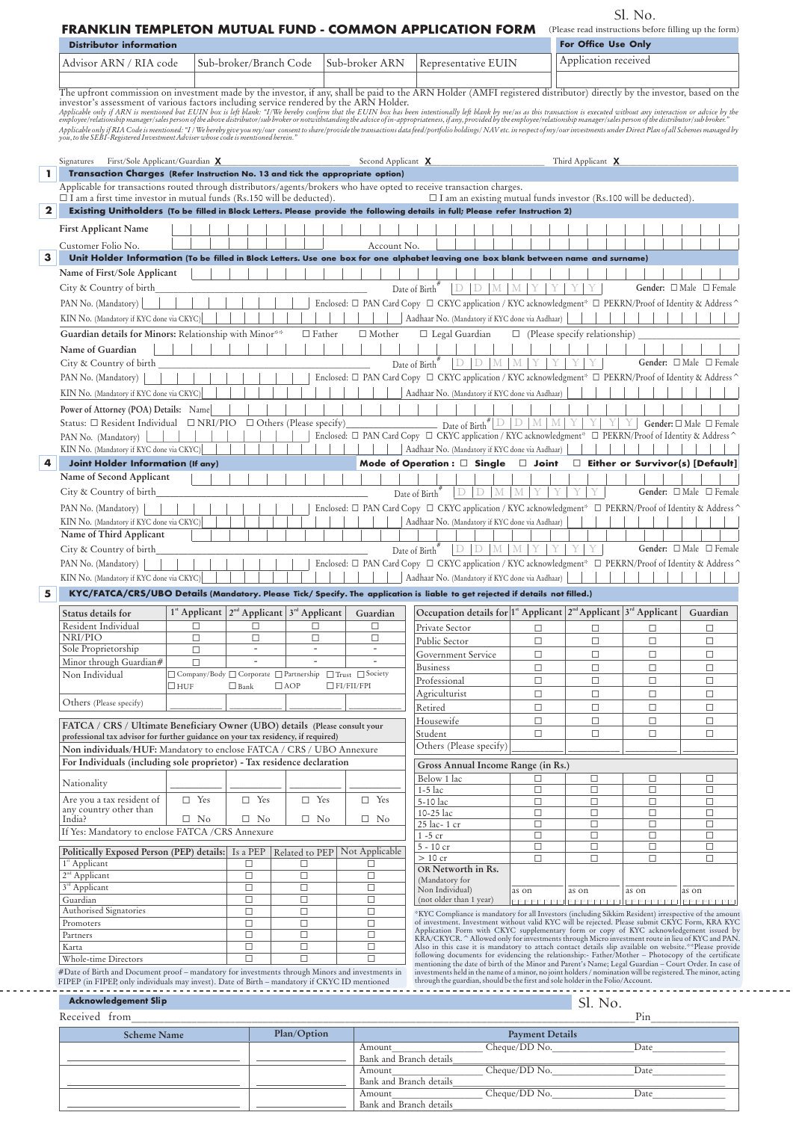| <b>FRANKLIN TEMPLETON MUTUAL FUND - COMMON APPLICATION FORM</b><br>For Office Use Only<br><b>Distributor information</b><br>Application received<br>Advisor ARN / RIA code<br>Sub-broker/Branch Code<br>Sub-broker ARN<br>Representative EUIN<br>The upfront commission on investment made by the investor, if any, shall be paid to the ARN Holder (AMFI registered distributor) directly by the investor, based on the<br>investor's assessment of various factors including service rendered by the ARN Holder.<br>Applicable only if ARN is mentioned but EUIN box is left blank: "I/We bereby confirm that the EUIN box has been intentionally left blank by me/us as this transaction is executed without any interaction or advice by the emp<br>Applicable only if RIA Code is mentioned: "I/We bereby give you my/our consent to share/provide the transactions data feed/portfolio holdings/ NAV etc. in respect of my/our investments under Direct Plan of all Schemes mana<br>First/Sole Applicant/Guardian X<br>Second Applicant X<br>Third Applicant X<br>Signatures<br>Transaction Charges (Refer Instruction No. 13 and tick the appropriate option)<br>Applicable for transactions routed through distributors/agents/brokers who have opted to receive transaction charges.<br>$\Box$ I am a first time investor in mutual funds (Rs.150 will be deducted).<br>$\Box$ I am an existing mutual funds investor (Rs.100 will be deducted).<br>Existing Unitholders (To be filled in Block Letters. Please provide the following details in full; Please refer Instruction 2)<br><b>First Applicant Name</b><br>Account No.<br>Unit Holder Information (To be filled in Block Letters. Use one box for one alphabet leaving one box blank between name and surname)<br>Name of First/Sole Applicant<br>Date of $\mathrm{Birth}^{\#}$<br>$D$ $D$ $M$ $M$ $Y$<br>Gender: $\Box$ Male $\Box$ Female<br>City & Country of birth<br>Enclosed: □ PAN Card Copy □ CKYC application / KYC acknowledgment* □ PEKRN/Proof of Identity & Address ^<br>PAN No. (Mandatory)<br>Aadhaar No. (Mandatory if KYC done via Aadhaar)<br>KIN No. (Mandatory if KYC done via CKYC)<br>Guardian details for Minors: Relationship with Minor**<br>$\Box$ Father<br>$\Box$ Mother<br>$\Box$ Legal Guardian<br>$\Box$ (Please specify relationship)<br>Name of Guardian<br>Date of Birth"<br>$D$ D $M$ $M$<br>Y<br>Y<br>Gender: $\Box$ Male $\Box$ Female<br>City & Country of birth<br>Enclosed: □ PAN Card Copy □ CKYC application / KYC acknowledgment* □ PEKRN/Proof of Identity & Address ^<br>KIN No. (Mandatory if KYC done via CKYC)<br>Aadhaar No. (Mandatory if KYC done via Aadhaar)<br>Power of Attorney (POA) Details: Name<br>Date of Birth $\sqrt[#]{\mathbb{D}   \mathbb{D}   \mathbb{M}   \mathbb{M}   Y}$<br>Status: $\Box$ Resident Individual $\Box$ NRI/PIO $\Box$ Others (Please specify)<br>Y<br>Y Y<br>Gender: □ Male □ Female<br>Enclosed: □ PAN Card Copy □ CKYC application / KYC acknowledgment* □ PEKRN/Proof of Identity & Address ^<br>Aadhaar No. (Mandatory if KYC done via Aadhaar)<br>KIN No. (Mandatory if KYC done via CKYC)<br><b>Joint Holder Information (If any)</b><br>Mode of Operation: $\Box$ Single $\Box$ Joint<br>$\Box$ Either or Survivor(s) [Default]<br>Name of Second Applicant<br>Date of Birth#<br>Y<br>Y<br>Gender: $\Box$ Male $\Box$ Female<br>$D$ $D$ $M$ $M$<br>Y<br>Y<br>City & Country of birth<br>Enclosed: $\Box$ PAN Card Copy $\Box$ CKYC application / KYC acknowledgment* $\Box$ PEKRN/Proof of Identity & Address<br>KIN No. (Mandatory if KYC done via CKYC)<br>Aadhaar No. (Mandatory if KYC done via Aadhaar)<br>Name of Third Applicant<br>YY<br>Y.<br>Gender: $\Box$ Male $\Box$ Female<br>D/D/M/M<br>Y I<br>Date of Birth <sup>7</sup><br>Enclosed: □ PAN Card Copy □ CKYC application / KYC acknowledgment* □ PEKRN/Proof of Identity & Address<br>KIN No. (Mandatory if KYC done via CKYC)<br>Aadhaar No. (Mandatory if KYC done via Aadhaar)<br>KYC/FATCA/CRS/UBO Details (Mandatory. Please Tick/ Specify. The application is liable to get rejected if details not filled.)<br>Occupation details for <sup>1ª</sup> Applicant <sup>2<sup>nd</sup> Applicant <sup>3<sup>rd</sup> Applicant</sup></sup><br>$1^*$ Applicant $2^{nd}$ Applicant $3^{rd}$ Applicant<br>Guardian<br>□<br>□<br>□<br>□<br>$\Box$<br>Private Sector<br>$\Box$<br>□<br>□<br>$\Box$<br>$\Box$<br>□<br>$\Box$<br>Public Sector<br>$\Box$<br>$\Box$<br>$\Box$<br>□<br>$\Box$<br>$\overline{\phantom{a}}$<br>$\overline{\phantom{a}}$<br>$\overline{\phantom{a}}$<br>Government Service<br>$\Box$<br>$\Box$<br>$\Box$<br>□<br>$\Box$<br><b>Business</b><br>□<br>$\Box$<br>$\Box$<br>$\Box$<br>□ Company/Body □ Corporate □ Partnership<br>$\Box$ Trust $\Box$ Society<br>Non Individual<br>Professional<br>$\Box$<br>$\Box$<br>$\Box$<br>$\Box$<br>$\Box$ AOP<br>$\Box$ FI/FII/FPI<br>$\Box$ huf<br>$\Box$ Bank<br>Agriculturist<br>$\Box$<br>$\Box$<br>$\Box$<br>$\Box$<br>Others (Please specify)<br>$\Box$<br>$\Box$<br>$\Box$<br>$\Box$<br>Retired<br>Housewife<br>$\Box$<br>$\Box$<br>$\Box$<br>$\Box$<br>FATCA / CRS / Ultimate Beneficiary Owner (UBO) details (Please consult your<br>Student<br>$\Box$<br>□<br>□<br>□<br>professional tax advisor for further guidance on your tax residency, if required)<br>Others (Please specify)<br>Non individuals/HUF: Mandatory to enclose FATCA / CRS / UBO Annexure<br>For Individuals (including sole proprietor) - Tax residence declaration<br>Gross Annual Income Range (in Rs.)<br>Below 1 lac<br>□<br>$\Box$<br>□<br>□<br>Nationality<br>$1-5$ lac<br>$\Box$<br>$\Box$<br>$\Box$<br>$\Box$<br>Are you a tax resident of<br>$\Box$ Yes<br>$\Box$ Yes<br>$\Box$ Yes<br>$\Box$ Yes<br>5-10 lac<br>$\Box$<br>$\Box$<br>$\Box$<br>□<br>any country other than<br>$\Box$<br>10-25 lac<br>$\Box$<br>$\Box$<br>□<br>$\Box$ No<br>$\Box$ No<br>$\Box$ No<br>$\Box$ No<br>India?<br>$\Box$<br>25 lac- 1 cr<br>$\Box$<br>$\Box$<br>$\Box$<br>If Yes: Mandatory to enclose FATCA /CRS Annexure<br>$1 - 5$ cr<br>$\Box$<br>$\Box$<br>$\Box$<br>□<br>5 - 10 cr<br>$\Box$<br>$\Box$<br>$\Box$<br>□<br>Related to PEP Not Applicable<br>Politically Exposed Person (PEP) details: Is a PEP<br>$>10$ cr<br>$\Box$<br>$\Box$<br>□<br>□<br>□<br>□<br>□<br>OR Networth in Rs.<br>$\Box$<br>$\Box$<br>$\Box$<br>(Mandatory for<br>$\Box$<br>$\Box$<br>$\Box$<br>Non Individual)<br>as on<br>as on<br>as on<br>as on<br>$\Box$<br>$\Box$<br>$\Box$<br>Guardian<br>(not older than 1 year)<br>Authorised Signatories<br>$\Box$<br>$\Box$<br>$\Box$<br>*KYC Compliance is mandatory for all Investors (including Sikkim Resident) irrespective of the amount<br>$\Box$<br>$\Box$<br>$\Box$<br>of investment. Investment without valid KYC will be rejected. Please submit CKYC Form, KRA KYC<br>Application Form with CKYC supplementary form or copy of KYC acknowledgement issued by<br>$\Box$<br>$\Box$<br>$\Box$<br>KRA/CKYCR. ^ Allowed only for investments through Micro investment route in lieu of KYC and PAN.<br>$\Box$<br>$\Box$<br>$\Box$<br>Also in this case it is mandatory to attach contact details slip available on website. <sup>**</sup> Please provide<br>following documents for evidencing the relationship:- Father/Mother - Photocopy of the certificate<br>$\Box$<br>$\Box$<br>$\Box$<br>mentioning the date of birth of the Minor and Parent's Name; Legal Guardian - Court Order. In case of<br>#Date of Birth and Document proof – mandatory for investments through Minors and investments in<br>investments held in the name of a minor, no joint holders / nomination will be registered. The minor, acting through the guardian, should be the first and sole holder in the Folio/Account.<br>FIPEP (in FIPEP, only individuals may invest). Date of Birth - mandatory if CKYC ID mentioned |                                                |  |  |  | (Please read instructions before filling up the form) |          |
|--------------------------------------------------------------------------------------------------------------------------------------------------------------------------------------------------------------------------------------------------------------------------------------------------------------------------------------------------------------------------------------------------------------------------------------------------------------------------------------------------------------------------------------------------------------------------------------------------------------------------------------------------------------------------------------------------------------------------------------------------------------------------------------------------------------------------------------------------------------------------------------------------------------------------------------------------------------------------------------------------------------------------------------------------------------------------------------------------------------------------------------------------------------------------------------------------------------------------------------------------------------------------------------------------------------------------------------------------------------------------------------------------------------------------------------------------------------------------------------------------------------------------------------------------------------------------------------------------------------------------------------------------------------------------------------------------------------------------------------------------------------------------------------------------------------------------------------------------------------------------------------------------------------------------------------------------------------------------------------------------------------------------------------------------------------------------------------------------------------------------------------------------------------------------------------------------------------------------------------------------------------------------------------------------------------------------------------------------------------------------------------------------------------------------------------------------------------------------------------------------------------------------------------------------------------------------------------------------------------------------------------------------------------------------------------------------------------------------------------------------------------------------------------------------------------------------------------------------------------------------------------------------------------------------------------------------------------------------------------------------------------------------------------------------------------------------------------------------------------------------------------------------------------------------------------------------------------------------------------------------------------------------------------------------------------------------------------------------------------------------------------------------------------------------------------------------------------------------------------------------------------------------------------------------------------------------------------------------------------------------------------------------------------------------------------------------------------------------------------------------------------------------------------------------------------------------------------------------------------------------------------------------------------------------------------------------------------------------------------------------------------------------------------------------------------------------------------------------------------------------------------------------------------------------------------------------------------------------------------------------------------------------------------------------------------------------------------------------------------------------------------------------------------------------------------------------------------------------------------------------------------------------------------------------------------------------------------------------------------------------------------------------------------------------------------------------------------------------------------------------------------------------------------------------------------------------------------------------------------------------------------------------------------------------------------------------------------------------------------------------------------------------------------------------------------------------------------------------------------------------------------------------------------------------------------------------------------------------------------------------------------------------------------------------------------------------------------------------------------------------------------------------------------------------------------------------------------------------------------------------------------------------------------------------------------------------------------------------------------------------------------------------------------------------------------------------------------------------------------------------------------------------------------------------------------------------------------------------------------------------------------------------------------------------------------------------------------------------------------------------------------------------------------------------------------------------------------------------------------------------------------------------------------------------------------------------------------------------------------------------------------------------------------------------------------------------------------------------------------------------------------------------------------------------------------------------------------------------------------------------------------------------------------------------------------------------------------------------------------------------------------------------------------------------------------------------------------------------------------------------------------------------------------------------------------------------------------------------------------------------------------------------------------------------------------------------------------------------------------------------------------------------------------------------------------------------------------------------------------------------------------------------------------------------------------------------------------------------------------------------------------------------------------------------------------------------------------------------------------------------------------------------------------------------------------------------------------------------------------------------------------------------------------------------------------------------------------------------------------------------------------------------------------------------------------------------------------------------------------------------------------------------------------------------------------------------------------------------------------------------------------------------------|------------------------------------------------|--|--|--|-------------------------------------------------------|----------|
|                                                                                                                                                                                                                                                                                                                                                                                                                                                                                                                                                                                                                                                                                                                                                                                                                                                                                                                                                                                                                                                                                                                                                                                                                                                                                                                                                                                                                                                                                                                                                                                                                                                                                                                                                                                                                                                                                                                                                                                                                                                                                                                                                                                                                                                                                                                                                                                                                                                                                                                                                                                                                                                                                                                                                                                                                                                                                                                                                                                                                                                                                                                                                                                                                                                                                                                                                                                                                                                                                                                                                                                                                                                                                                                                                                                                                                                                                                                                                                                                                                                                                                                                                                                                                                                                                                                                                                                                                                                                                                                                                                                                                                                                                                                                                                                                                                                                                                                                                                                                                                                                                                                                                                                                                                                                                                                                                                                                                                                                                                                                                                                                                                                                                                                                                                                                                                                                                                                                                                                                                                                                                                                                                                                                                                                                                                                                                                                                                                                                                                                                                                                                                                                                                                                                                                                                                                                                                                                                                                                                                                                                                                                                                                                                                                                                                                                                                                                                                                                                                                                                                                                                                                                                                                                                                                                                                                                                                                        |                                                |  |  |  |                                                       |          |
|                                                                                                                                                                                                                                                                                                                                                                                                                                                                                                                                                                                                                                                                                                                                                                                                                                                                                                                                                                                                                                                                                                                                                                                                                                                                                                                                                                                                                                                                                                                                                                                                                                                                                                                                                                                                                                                                                                                                                                                                                                                                                                                                                                                                                                                                                                                                                                                                                                                                                                                                                                                                                                                                                                                                                                                                                                                                                                                                                                                                                                                                                                                                                                                                                                                                                                                                                                                                                                                                                                                                                                                                                                                                                                                                                                                                                                                                                                                                                                                                                                                                                                                                                                                                                                                                                                                                                                                                                                                                                                                                                                                                                                                                                                                                                                                                                                                                                                                                                                                                                                                                                                                                                                                                                                                                                                                                                                                                                                                                                                                                                                                                                                                                                                                                                                                                                                                                                                                                                                                                                                                                                                                                                                                                                                                                                                                                                                                                                                                                                                                                                                                                                                                                                                                                                                                                                                                                                                                                                                                                                                                                                                                                                                                                                                                                                                                                                                                                                                                                                                                                                                                                                                                                                                                                                                                                                                                                                                        |                                                |  |  |  |                                                       |          |
|                                                                                                                                                                                                                                                                                                                                                                                                                                                                                                                                                                                                                                                                                                                                                                                                                                                                                                                                                                                                                                                                                                                                                                                                                                                                                                                                                                                                                                                                                                                                                                                                                                                                                                                                                                                                                                                                                                                                                                                                                                                                                                                                                                                                                                                                                                                                                                                                                                                                                                                                                                                                                                                                                                                                                                                                                                                                                                                                                                                                                                                                                                                                                                                                                                                                                                                                                                                                                                                                                                                                                                                                                                                                                                                                                                                                                                                                                                                                                                                                                                                                                                                                                                                                                                                                                                                                                                                                                                                                                                                                                                                                                                                                                                                                                                                                                                                                                                                                                                                                                                                                                                                                                                                                                                                                                                                                                                                                                                                                                                                                                                                                                                                                                                                                                                                                                                                                                                                                                                                                                                                                                                                                                                                                                                                                                                                                                                                                                                                                                                                                                                                                                                                                                                                                                                                                                                                                                                                                                                                                                                                                                                                                                                                                                                                                                                                                                                                                                                                                                                                                                                                                                                                                                                                                                                                                                                                                                                        |                                                |  |  |  |                                                       |          |
|                                                                                                                                                                                                                                                                                                                                                                                                                                                                                                                                                                                                                                                                                                                                                                                                                                                                                                                                                                                                                                                                                                                                                                                                                                                                                                                                                                                                                                                                                                                                                                                                                                                                                                                                                                                                                                                                                                                                                                                                                                                                                                                                                                                                                                                                                                                                                                                                                                                                                                                                                                                                                                                                                                                                                                                                                                                                                                                                                                                                                                                                                                                                                                                                                                                                                                                                                                                                                                                                                                                                                                                                                                                                                                                                                                                                                                                                                                                                                                                                                                                                                                                                                                                                                                                                                                                                                                                                                                                                                                                                                                                                                                                                                                                                                                                                                                                                                                                                                                                                                                                                                                                                                                                                                                                                                                                                                                                                                                                                                                                                                                                                                                                                                                                                                                                                                                                                                                                                                                                                                                                                                                                                                                                                                                                                                                                                                                                                                                                                                                                                                                                                                                                                                                                                                                                                                                                                                                                                                                                                                                                                                                                                                                                                                                                                                                                                                                                                                                                                                                                                                                                                                                                                                                                                                                                                                                                                                                        |                                                |  |  |  |                                                       |          |
|                                                                                                                                                                                                                                                                                                                                                                                                                                                                                                                                                                                                                                                                                                                                                                                                                                                                                                                                                                                                                                                                                                                                                                                                                                                                                                                                                                                                                                                                                                                                                                                                                                                                                                                                                                                                                                                                                                                                                                                                                                                                                                                                                                                                                                                                                                                                                                                                                                                                                                                                                                                                                                                                                                                                                                                                                                                                                                                                                                                                                                                                                                                                                                                                                                                                                                                                                                                                                                                                                                                                                                                                                                                                                                                                                                                                                                                                                                                                                                                                                                                                                                                                                                                                                                                                                                                                                                                                                                                                                                                                                                                                                                                                                                                                                                                                                                                                                                                                                                                                                                                                                                                                                                                                                                                                                                                                                                                                                                                                                                                                                                                                                                                                                                                                                                                                                                                                                                                                                                                                                                                                                                                                                                                                                                                                                                                                                                                                                                                                                                                                                                                                                                                                                                                                                                                                                                                                                                                                                                                                                                                                                                                                                                                                                                                                                                                                                                                                                                                                                                                                                                                                                                                                                                                                                                                                                                                                                                        |                                                |  |  |  |                                                       |          |
|                                                                                                                                                                                                                                                                                                                                                                                                                                                                                                                                                                                                                                                                                                                                                                                                                                                                                                                                                                                                                                                                                                                                                                                                                                                                                                                                                                                                                                                                                                                                                                                                                                                                                                                                                                                                                                                                                                                                                                                                                                                                                                                                                                                                                                                                                                                                                                                                                                                                                                                                                                                                                                                                                                                                                                                                                                                                                                                                                                                                                                                                                                                                                                                                                                                                                                                                                                                                                                                                                                                                                                                                                                                                                                                                                                                                                                                                                                                                                                                                                                                                                                                                                                                                                                                                                                                                                                                                                                                                                                                                                                                                                                                                                                                                                                                                                                                                                                                                                                                                                                                                                                                                                                                                                                                                                                                                                                                                                                                                                                                                                                                                                                                                                                                                                                                                                                                                                                                                                                                                                                                                                                                                                                                                                                                                                                                                                                                                                                                                                                                                                                                                                                                                                                                                                                                                                                                                                                                                                                                                                                                                                                                                                                                                                                                                                                                                                                                                                                                                                                                                                                                                                                                                                                                                                                                                                                                                                                        |                                                |  |  |  |                                                       |          |
|                                                                                                                                                                                                                                                                                                                                                                                                                                                                                                                                                                                                                                                                                                                                                                                                                                                                                                                                                                                                                                                                                                                                                                                                                                                                                                                                                                                                                                                                                                                                                                                                                                                                                                                                                                                                                                                                                                                                                                                                                                                                                                                                                                                                                                                                                                                                                                                                                                                                                                                                                                                                                                                                                                                                                                                                                                                                                                                                                                                                                                                                                                                                                                                                                                                                                                                                                                                                                                                                                                                                                                                                                                                                                                                                                                                                                                                                                                                                                                                                                                                                                                                                                                                                                                                                                                                                                                                                                                                                                                                                                                                                                                                                                                                                                                                                                                                                                                                                                                                                                                                                                                                                                                                                                                                                                                                                                                                                                                                                                                                                                                                                                                                                                                                                                                                                                                                                                                                                                                                                                                                                                                                                                                                                                                                                                                                                                                                                                                                                                                                                                                                                                                                                                                                                                                                                                                                                                                                                                                                                                                                                                                                                                                                                                                                                                                                                                                                                                                                                                                                                                                                                                                                                                                                                                                                                                                                                                                        |                                                |  |  |  |                                                       |          |
|                                                                                                                                                                                                                                                                                                                                                                                                                                                                                                                                                                                                                                                                                                                                                                                                                                                                                                                                                                                                                                                                                                                                                                                                                                                                                                                                                                                                                                                                                                                                                                                                                                                                                                                                                                                                                                                                                                                                                                                                                                                                                                                                                                                                                                                                                                                                                                                                                                                                                                                                                                                                                                                                                                                                                                                                                                                                                                                                                                                                                                                                                                                                                                                                                                                                                                                                                                                                                                                                                                                                                                                                                                                                                                                                                                                                                                                                                                                                                                                                                                                                                                                                                                                                                                                                                                                                                                                                                                                                                                                                                                                                                                                                                                                                                                                                                                                                                                                                                                                                                                                                                                                                                                                                                                                                                                                                                                                                                                                                                                                                                                                                                                                                                                                                                                                                                                                                                                                                                                                                                                                                                                                                                                                                                                                                                                                                                                                                                                                                                                                                                                                                                                                                                                                                                                                                                                                                                                                                                                                                                                                                                                                                                                                                                                                                                                                                                                                                                                                                                                                                                                                                                                                                                                                                                                                                                                                                                                        |                                                |  |  |  |                                                       |          |
|                                                                                                                                                                                                                                                                                                                                                                                                                                                                                                                                                                                                                                                                                                                                                                                                                                                                                                                                                                                                                                                                                                                                                                                                                                                                                                                                                                                                                                                                                                                                                                                                                                                                                                                                                                                                                                                                                                                                                                                                                                                                                                                                                                                                                                                                                                                                                                                                                                                                                                                                                                                                                                                                                                                                                                                                                                                                                                                                                                                                                                                                                                                                                                                                                                                                                                                                                                                                                                                                                                                                                                                                                                                                                                                                                                                                                                                                                                                                                                                                                                                                                                                                                                                                                                                                                                                                                                                                                                                                                                                                                                                                                                                                                                                                                                                                                                                                                                                                                                                                                                                                                                                                                                                                                                                                                                                                                                                                                                                                                                                                                                                                                                                                                                                                                                                                                                                                                                                                                                                                                                                                                                                                                                                                                                                                                                                                                                                                                                                                                                                                                                                                                                                                                                                                                                                                                                                                                                                                                                                                                                                                                                                                                                                                                                                                                                                                                                                                                                                                                                                                                                                                                                                                                                                                                                                                                                                                                                        |                                                |  |  |  |                                                       |          |
|                                                                                                                                                                                                                                                                                                                                                                                                                                                                                                                                                                                                                                                                                                                                                                                                                                                                                                                                                                                                                                                                                                                                                                                                                                                                                                                                                                                                                                                                                                                                                                                                                                                                                                                                                                                                                                                                                                                                                                                                                                                                                                                                                                                                                                                                                                                                                                                                                                                                                                                                                                                                                                                                                                                                                                                                                                                                                                                                                                                                                                                                                                                                                                                                                                                                                                                                                                                                                                                                                                                                                                                                                                                                                                                                                                                                                                                                                                                                                                                                                                                                                                                                                                                                                                                                                                                                                                                                                                                                                                                                                                                                                                                                                                                                                                                                                                                                                                                                                                                                                                                                                                                                                                                                                                                                                                                                                                                                                                                                                                                                                                                                                                                                                                                                                                                                                                                                                                                                                                                                                                                                                                                                                                                                                                                                                                                                                                                                                                                                                                                                                                                                                                                                                                                                                                                                                                                                                                                                                                                                                                                                                                                                                                                                                                                                                                                                                                                                                                                                                                                                                                                                                                                                                                                                                                                                                                                                                                        |                                                |  |  |  |                                                       |          |
|                                                                                                                                                                                                                                                                                                                                                                                                                                                                                                                                                                                                                                                                                                                                                                                                                                                                                                                                                                                                                                                                                                                                                                                                                                                                                                                                                                                                                                                                                                                                                                                                                                                                                                                                                                                                                                                                                                                                                                                                                                                                                                                                                                                                                                                                                                                                                                                                                                                                                                                                                                                                                                                                                                                                                                                                                                                                                                                                                                                                                                                                                                                                                                                                                                                                                                                                                                                                                                                                                                                                                                                                                                                                                                                                                                                                                                                                                                                                                                                                                                                                                                                                                                                                                                                                                                                                                                                                                                                                                                                                                                                                                                                                                                                                                                                                                                                                                                                                                                                                                                                                                                                                                                                                                                                                                                                                                                                                                                                                                                                                                                                                                                                                                                                                                                                                                                                                                                                                                                                                                                                                                                                                                                                                                                                                                                                                                                                                                                                                                                                                                                                                                                                                                                                                                                                                                                                                                                                                                                                                                                                                                                                                                                                                                                                                                                                                                                                                                                                                                                                                                                                                                                                                                                                                                                                                                                                                                                        |                                                |  |  |  |                                                       |          |
|                                                                                                                                                                                                                                                                                                                                                                                                                                                                                                                                                                                                                                                                                                                                                                                                                                                                                                                                                                                                                                                                                                                                                                                                                                                                                                                                                                                                                                                                                                                                                                                                                                                                                                                                                                                                                                                                                                                                                                                                                                                                                                                                                                                                                                                                                                                                                                                                                                                                                                                                                                                                                                                                                                                                                                                                                                                                                                                                                                                                                                                                                                                                                                                                                                                                                                                                                                                                                                                                                                                                                                                                                                                                                                                                                                                                                                                                                                                                                                                                                                                                                                                                                                                                                                                                                                                                                                                                                                                                                                                                                                                                                                                                                                                                                                                                                                                                                                                                                                                                                                                                                                                                                                                                                                                                                                                                                                                                                                                                                                                                                                                                                                                                                                                                                                                                                                                                                                                                                                                                                                                                                                                                                                                                                                                                                                                                                                                                                                                                                                                                                                                                                                                                                                                                                                                                                                                                                                                                                                                                                                                                                                                                                                                                                                                                                                                                                                                                                                                                                                                                                                                                                                                                                                                                                                                                                                                                                                        |                                                |  |  |  |                                                       |          |
|                                                                                                                                                                                                                                                                                                                                                                                                                                                                                                                                                                                                                                                                                                                                                                                                                                                                                                                                                                                                                                                                                                                                                                                                                                                                                                                                                                                                                                                                                                                                                                                                                                                                                                                                                                                                                                                                                                                                                                                                                                                                                                                                                                                                                                                                                                                                                                                                                                                                                                                                                                                                                                                                                                                                                                                                                                                                                                                                                                                                                                                                                                                                                                                                                                                                                                                                                                                                                                                                                                                                                                                                                                                                                                                                                                                                                                                                                                                                                                                                                                                                                                                                                                                                                                                                                                                                                                                                                                                                                                                                                                                                                                                                                                                                                                                                                                                                                                                                                                                                                                                                                                                                                                                                                                                                                                                                                                                                                                                                                                                                                                                                                                                                                                                                                                                                                                                                                                                                                                                                                                                                                                                                                                                                                                                                                                                                                                                                                                                                                                                                                                                                                                                                                                                                                                                                                                                                                                                                                                                                                                                                                                                                                                                                                                                                                                                                                                                                                                                                                                                                                                                                                                                                                                                                                                                                                                                                                                        |                                                |  |  |  |                                                       |          |
|                                                                                                                                                                                                                                                                                                                                                                                                                                                                                                                                                                                                                                                                                                                                                                                                                                                                                                                                                                                                                                                                                                                                                                                                                                                                                                                                                                                                                                                                                                                                                                                                                                                                                                                                                                                                                                                                                                                                                                                                                                                                                                                                                                                                                                                                                                                                                                                                                                                                                                                                                                                                                                                                                                                                                                                                                                                                                                                                                                                                                                                                                                                                                                                                                                                                                                                                                                                                                                                                                                                                                                                                                                                                                                                                                                                                                                                                                                                                                                                                                                                                                                                                                                                                                                                                                                                                                                                                                                                                                                                                                                                                                                                                                                                                                                                                                                                                                                                                                                                                                                                                                                                                                                                                                                                                                                                                                                                                                                                                                                                                                                                                                                                                                                                                                                                                                                                                                                                                                                                                                                                                                                                                                                                                                                                                                                                                                                                                                                                                                                                                                                                                                                                                                                                                                                                                                                                                                                                                                                                                                                                                                                                                                                                                                                                                                                                                                                                                                                                                                                                                                                                                                                                                                                                                                                                                                                                                                                        | Customer Folio No.                             |  |  |  |                                                       |          |
|                                                                                                                                                                                                                                                                                                                                                                                                                                                                                                                                                                                                                                                                                                                                                                                                                                                                                                                                                                                                                                                                                                                                                                                                                                                                                                                                                                                                                                                                                                                                                                                                                                                                                                                                                                                                                                                                                                                                                                                                                                                                                                                                                                                                                                                                                                                                                                                                                                                                                                                                                                                                                                                                                                                                                                                                                                                                                                                                                                                                                                                                                                                                                                                                                                                                                                                                                                                                                                                                                                                                                                                                                                                                                                                                                                                                                                                                                                                                                                                                                                                                                                                                                                                                                                                                                                                                                                                                                                                                                                                                                                                                                                                                                                                                                                                                                                                                                                                                                                                                                                                                                                                                                                                                                                                                                                                                                                                                                                                                                                                                                                                                                                                                                                                                                                                                                                                                                                                                                                                                                                                                                                                                                                                                                                                                                                                                                                                                                                                                                                                                                                                                                                                                                                                                                                                                                                                                                                                                                                                                                                                                                                                                                                                                                                                                                                                                                                                                                                                                                                                                                                                                                                                                                                                                                                                                                                                                                                        |                                                |  |  |  |                                                       |          |
|                                                                                                                                                                                                                                                                                                                                                                                                                                                                                                                                                                                                                                                                                                                                                                                                                                                                                                                                                                                                                                                                                                                                                                                                                                                                                                                                                                                                                                                                                                                                                                                                                                                                                                                                                                                                                                                                                                                                                                                                                                                                                                                                                                                                                                                                                                                                                                                                                                                                                                                                                                                                                                                                                                                                                                                                                                                                                                                                                                                                                                                                                                                                                                                                                                                                                                                                                                                                                                                                                                                                                                                                                                                                                                                                                                                                                                                                                                                                                                                                                                                                                                                                                                                                                                                                                                                                                                                                                                                                                                                                                                                                                                                                                                                                                                                                                                                                                                                                                                                                                                                                                                                                                                                                                                                                                                                                                                                                                                                                                                                                                                                                                                                                                                                                                                                                                                                                                                                                                                                                                                                                                                                                                                                                                                                                                                                                                                                                                                                                                                                                                                                                                                                                                                                                                                                                                                                                                                                                                                                                                                                                                                                                                                                                                                                                                                                                                                                                                                                                                                                                                                                                                                                                                                                                                                                                                                                                                                        |                                                |  |  |  |                                                       |          |
|                                                                                                                                                                                                                                                                                                                                                                                                                                                                                                                                                                                                                                                                                                                                                                                                                                                                                                                                                                                                                                                                                                                                                                                                                                                                                                                                                                                                                                                                                                                                                                                                                                                                                                                                                                                                                                                                                                                                                                                                                                                                                                                                                                                                                                                                                                                                                                                                                                                                                                                                                                                                                                                                                                                                                                                                                                                                                                                                                                                                                                                                                                                                                                                                                                                                                                                                                                                                                                                                                                                                                                                                                                                                                                                                                                                                                                                                                                                                                                                                                                                                                                                                                                                                                                                                                                                                                                                                                                                                                                                                                                                                                                                                                                                                                                                                                                                                                                                                                                                                                                                                                                                                                                                                                                                                                                                                                                                                                                                                                                                                                                                                                                                                                                                                                                                                                                                                                                                                                                                                                                                                                                                                                                                                                                                                                                                                                                                                                                                                                                                                                                                                                                                                                                                                                                                                                                                                                                                                                                                                                                                                                                                                                                                                                                                                                                                                                                                                                                                                                                                                                                                                                                                                                                                                                                                                                                                                                                        |                                                |  |  |  |                                                       |          |
|                                                                                                                                                                                                                                                                                                                                                                                                                                                                                                                                                                                                                                                                                                                                                                                                                                                                                                                                                                                                                                                                                                                                                                                                                                                                                                                                                                                                                                                                                                                                                                                                                                                                                                                                                                                                                                                                                                                                                                                                                                                                                                                                                                                                                                                                                                                                                                                                                                                                                                                                                                                                                                                                                                                                                                                                                                                                                                                                                                                                                                                                                                                                                                                                                                                                                                                                                                                                                                                                                                                                                                                                                                                                                                                                                                                                                                                                                                                                                                                                                                                                                                                                                                                                                                                                                                                                                                                                                                                                                                                                                                                                                                                                                                                                                                                                                                                                                                                                                                                                                                                                                                                                                                                                                                                                                                                                                                                                                                                                                                                                                                                                                                                                                                                                                                                                                                                                                                                                                                                                                                                                                                                                                                                                                                                                                                                                                                                                                                                                                                                                                                                                                                                                                                                                                                                                                                                                                                                                                                                                                                                                                                                                                                                                                                                                                                                                                                                                                                                                                                                                                                                                                                                                                                                                                                                                                                                                                                        |                                                |  |  |  |                                                       |          |
|                                                                                                                                                                                                                                                                                                                                                                                                                                                                                                                                                                                                                                                                                                                                                                                                                                                                                                                                                                                                                                                                                                                                                                                                                                                                                                                                                                                                                                                                                                                                                                                                                                                                                                                                                                                                                                                                                                                                                                                                                                                                                                                                                                                                                                                                                                                                                                                                                                                                                                                                                                                                                                                                                                                                                                                                                                                                                                                                                                                                                                                                                                                                                                                                                                                                                                                                                                                                                                                                                                                                                                                                                                                                                                                                                                                                                                                                                                                                                                                                                                                                                                                                                                                                                                                                                                                                                                                                                                                                                                                                                                                                                                                                                                                                                                                                                                                                                                                                                                                                                                                                                                                                                                                                                                                                                                                                                                                                                                                                                                                                                                                                                                                                                                                                                                                                                                                                                                                                                                                                                                                                                                                                                                                                                                                                                                                                                                                                                                                                                                                                                                                                                                                                                                                                                                                                                                                                                                                                                                                                                                                                                                                                                                                                                                                                                                                                                                                                                                                                                                                                                                                                                                                                                                                                                                                                                                                                                                        |                                                |  |  |  |                                                       |          |
|                                                                                                                                                                                                                                                                                                                                                                                                                                                                                                                                                                                                                                                                                                                                                                                                                                                                                                                                                                                                                                                                                                                                                                                                                                                                                                                                                                                                                                                                                                                                                                                                                                                                                                                                                                                                                                                                                                                                                                                                                                                                                                                                                                                                                                                                                                                                                                                                                                                                                                                                                                                                                                                                                                                                                                                                                                                                                                                                                                                                                                                                                                                                                                                                                                                                                                                                                                                                                                                                                                                                                                                                                                                                                                                                                                                                                                                                                                                                                                                                                                                                                                                                                                                                                                                                                                                                                                                                                                                                                                                                                                                                                                                                                                                                                                                                                                                                                                                                                                                                                                                                                                                                                                                                                                                                                                                                                                                                                                                                                                                                                                                                                                                                                                                                                                                                                                                                                                                                                                                                                                                                                                                                                                                                                                                                                                                                                                                                                                                                                                                                                                                                                                                                                                                                                                                                                                                                                                                                                                                                                                                                                                                                                                                                                                                                                                                                                                                                                                                                                                                                                                                                                                                                                                                                                                                                                                                                                                        |                                                |  |  |  |                                                       |          |
|                                                                                                                                                                                                                                                                                                                                                                                                                                                                                                                                                                                                                                                                                                                                                                                                                                                                                                                                                                                                                                                                                                                                                                                                                                                                                                                                                                                                                                                                                                                                                                                                                                                                                                                                                                                                                                                                                                                                                                                                                                                                                                                                                                                                                                                                                                                                                                                                                                                                                                                                                                                                                                                                                                                                                                                                                                                                                                                                                                                                                                                                                                                                                                                                                                                                                                                                                                                                                                                                                                                                                                                                                                                                                                                                                                                                                                                                                                                                                                                                                                                                                                                                                                                                                                                                                                                                                                                                                                                                                                                                                                                                                                                                                                                                                                                                                                                                                                                                                                                                                                                                                                                                                                                                                                                                                                                                                                                                                                                                                                                                                                                                                                                                                                                                                                                                                                                                                                                                                                                                                                                                                                                                                                                                                                                                                                                                                                                                                                                                                                                                                                                                                                                                                                                                                                                                                                                                                                                                                                                                                                                                                                                                                                                                                                                                                                                                                                                                                                                                                                                                                                                                                                                                                                                                                                                                                                                                                                        |                                                |  |  |  |                                                       |          |
|                                                                                                                                                                                                                                                                                                                                                                                                                                                                                                                                                                                                                                                                                                                                                                                                                                                                                                                                                                                                                                                                                                                                                                                                                                                                                                                                                                                                                                                                                                                                                                                                                                                                                                                                                                                                                                                                                                                                                                                                                                                                                                                                                                                                                                                                                                                                                                                                                                                                                                                                                                                                                                                                                                                                                                                                                                                                                                                                                                                                                                                                                                                                                                                                                                                                                                                                                                                                                                                                                                                                                                                                                                                                                                                                                                                                                                                                                                                                                                                                                                                                                                                                                                                                                                                                                                                                                                                                                                                                                                                                                                                                                                                                                                                                                                                                                                                                                                                                                                                                                                                                                                                                                                                                                                                                                                                                                                                                                                                                                                                                                                                                                                                                                                                                                                                                                                                                                                                                                                                                                                                                                                                                                                                                                                                                                                                                                                                                                                                                                                                                                                                                                                                                                                                                                                                                                                                                                                                                                                                                                                                                                                                                                                                                                                                                                                                                                                                                                                                                                                                                                                                                                                                                                                                                                                                                                                                                                                        | PAN No. (Mandatory)                            |  |  |  |                                                       |          |
|                                                                                                                                                                                                                                                                                                                                                                                                                                                                                                                                                                                                                                                                                                                                                                                                                                                                                                                                                                                                                                                                                                                                                                                                                                                                                                                                                                                                                                                                                                                                                                                                                                                                                                                                                                                                                                                                                                                                                                                                                                                                                                                                                                                                                                                                                                                                                                                                                                                                                                                                                                                                                                                                                                                                                                                                                                                                                                                                                                                                                                                                                                                                                                                                                                                                                                                                                                                                                                                                                                                                                                                                                                                                                                                                                                                                                                                                                                                                                                                                                                                                                                                                                                                                                                                                                                                                                                                                                                                                                                                                                                                                                                                                                                                                                                                                                                                                                                                                                                                                                                                                                                                                                                                                                                                                                                                                                                                                                                                                                                                                                                                                                                                                                                                                                                                                                                                                                                                                                                                                                                                                                                                                                                                                                                                                                                                                                                                                                                                                                                                                                                                                                                                                                                                                                                                                                                                                                                                                                                                                                                                                                                                                                                                                                                                                                                                                                                                                                                                                                                                                                                                                                                                                                                                                                                                                                                                                                                        |                                                |  |  |  |                                                       |          |
|                                                                                                                                                                                                                                                                                                                                                                                                                                                                                                                                                                                                                                                                                                                                                                                                                                                                                                                                                                                                                                                                                                                                                                                                                                                                                                                                                                                                                                                                                                                                                                                                                                                                                                                                                                                                                                                                                                                                                                                                                                                                                                                                                                                                                                                                                                                                                                                                                                                                                                                                                                                                                                                                                                                                                                                                                                                                                                                                                                                                                                                                                                                                                                                                                                                                                                                                                                                                                                                                                                                                                                                                                                                                                                                                                                                                                                                                                                                                                                                                                                                                                                                                                                                                                                                                                                                                                                                                                                                                                                                                                                                                                                                                                                                                                                                                                                                                                                                                                                                                                                                                                                                                                                                                                                                                                                                                                                                                                                                                                                                                                                                                                                                                                                                                                                                                                                                                                                                                                                                                                                                                                                                                                                                                                                                                                                                                                                                                                                                                                                                                                                                                                                                                                                                                                                                                                                                                                                                                                                                                                                                                                                                                                                                                                                                                                                                                                                                                                                                                                                                                                                                                                                                                                                                                                                                                                                                                                                        |                                                |  |  |  |                                                       |          |
|                                                                                                                                                                                                                                                                                                                                                                                                                                                                                                                                                                                                                                                                                                                                                                                                                                                                                                                                                                                                                                                                                                                                                                                                                                                                                                                                                                                                                                                                                                                                                                                                                                                                                                                                                                                                                                                                                                                                                                                                                                                                                                                                                                                                                                                                                                                                                                                                                                                                                                                                                                                                                                                                                                                                                                                                                                                                                                                                                                                                                                                                                                                                                                                                                                                                                                                                                                                                                                                                                                                                                                                                                                                                                                                                                                                                                                                                                                                                                                                                                                                                                                                                                                                                                                                                                                                                                                                                                                                                                                                                                                                                                                                                                                                                                                                                                                                                                                                                                                                                                                                                                                                                                                                                                                                                                                                                                                                                                                                                                                                                                                                                                                                                                                                                                                                                                                                                                                                                                                                                                                                                                                                                                                                                                                                                                                                                                                                                                                                                                                                                                                                                                                                                                                                                                                                                                                                                                                                                                                                                                                                                                                                                                                                                                                                                                                                                                                                                                                                                                                                                                                                                                                                                                                                                                                                                                                                                                                        |                                                |  |  |  |                                                       |          |
|                                                                                                                                                                                                                                                                                                                                                                                                                                                                                                                                                                                                                                                                                                                                                                                                                                                                                                                                                                                                                                                                                                                                                                                                                                                                                                                                                                                                                                                                                                                                                                                                                                                                                                                                                                                                                                                                                                                                                                                                                                                                                                                                                                                                                                                                                                                                                                                                                                                                                                                                                                                                                                                                                                                                                                                                                                                                                                                                                                                                                                                                                                                                                                                                                                                                                                                                                                                                                                                                                                                                                                                                                                                                                                                                                                                                                                                                                                                                                                                                                                                                                                                                                                                                                                                                                                                                                                                                                                                                                                                                                                                                                                                                                                                                                                                                                                                                                                                                                                                                                                                                                                                                                                                                                                                                                                                                                                                                                                                                                                                                                                                                                                                                                                                                                                                                                                                                                                                                                                                                                                                                                                                                                                                                                                                                                                                                                                                                                                                                                                                                                                                                                                                                                                                                                                                                                                                                                                                                                                                                                                                                                                                                                                                                                                                                                                                                                                                                                                                                                                                                                                                                                                                                                                                                                                                                                                                                                                        | PAN No. (Mandatory)                            |  |  |  |                                                       |          |
|                                                                                                                                                                                                                                                                                                                                                                                                                                                                                                                                                                                                                                                                                                                                                                                                                                                                                                                                                                                                                                                                                                                                                                                                                                                                                                                                                                                                                                                                                                                                                                                                                                                                                                                                                                                                                                                                                                                                                                                                                                                                                                                                                                                                                                                                                                                                                                                                                                                                                                                                                                                                                                                                                                                                                                                                                                                                                                                                                                                                                                                                                                                                                                                                                                                                                                                                                                                                                                                                                                                                                                                                                                                                                                                                                                                                                                                                                                                                                                                                                                                                                                                                                                                                                                                                                                                                                                                                                                                                                                                                                                                                                                                                                                                                                                                                                                                                                                                                                                                                                                                                                                                                                                                                                                                                                                                                                                                                                                                                                                                                                                                                                                                                                                                                                                                                                                                                                                                                                                                                                                                                                                                                                                                                                                                                                                                                                                                                                                                                                                                                                                                                                                                                                                                                                                                                                                                                                                                                                                                                                                                                                                                                                                                                                                                                                                                                                                                                                                                                                                                                                                                                                                                                                                                                                                                                                                                                                                        |                                                |  |  |  |                                                       |          |
|                                                                                                                                                                                                                                                                                                                                                                                                                                                                                                                                                                                                                                                                                                                                                                                                                                                                                                                                                                                                                                                                                                                                                                                                                                                                                                                                                                                                                                                                                                                                                                                                                                                                                                                                                                                                                                                                                                                                                                                                                                                                                                                                                                                                                                                                                                                                                                                                                                                                                                                                                                                                                                                                                                                                                                                                                                                                                                                                                                                                                                                                                                                                                                                                                                                                                                                                                                                                                                                                                                                                                                                                                                                                                                                                                                                                                                                                                                                                                                                                                                                                                                                                                                                                                                                                                                                                                                                                                                                                                                                                                                                                                                                                                                                                                                                                                                                                                                                                                                                                                                                                                                                                                                                                                                                                                                                                                                                                                                                                                                                                                                                                                                                                                                                                                                                                                                                                                                                                                                                                                                                                                                                                                                                                                                                                                                                                                                                                                                                                                                                                                                                                                                                                                                                                                                                                                                                                                                                                                                                                                                                                                                                                                                                                                                                                                                                                                                                                                                                                                                                                                                                                                                                                                                                                                                                                                                                                                                        |                                                |  |  |  |                                                       |          |
|                                                                                                                                                                                                                                                                                                                                                                                                                                                                                                                                                                                                                                                                                                                                                                                                                                                                                                                                                                                                                                                                                                                                                                                                                                                                                                                                                                                                                                                                                                                                                                                                                                                                                                                                                                                                                                                                                                                                                                                                                                                                                                                                                                                                                                                                                                                                                                                                                                                                                                                                                                                                                                                                                                                                                                                                                                                                                                                                                                                                                                                                                                                                                                                                                                                                                                                                                                                                                                                                                                                                                                                                                                                                                                                                                                                                                                                                                                                                                                                                                                                                                                                                                                                                                                                                                                                                                                                                                                                                                                                                                                                                                                                                                                                                                                                                                                                                                                                                                                                                                                                                                                                                                                                                                                                                                                                                                                                                                                                                                                                                                                                                                                                                                                                                                                                                                                                                                                                                                                                                                                                                                                                                                                                                                                                                                                                                                                                                                                                                                                                                                                                                                                                                                                                                                                                                                                                                                                                                                                                                                                                                                                                                                                                                                                                                                                                                                                                                                                                                                                                                                                                                                                                                                                                                                                                                                                                                                                        |                                                |  |  |  |                                                       |          |
|                                                                                                                                                                                                                                                                                                                                                                                                                                                                                                                                                                                                                                                                                                                                                                                                                                                                                                                                                                                                                                                                                                                                                                                                                                                                                                                                                                                                                                                                                                                                                                                                                                                                                                                                                                                                                                                                                                                                                                                                                                                                                                                                                                                                                                                                                                                                                                                                                                                                                                                                                                                                                                                                                                                                                                                                                                                                                                                                                                                                                                                                                                                                                                                                                                                                                                                                                                                                                                                                                                                                                                                                                                                                                                                                                                                                                                                                                                                                                                                                                                                                                                                                                                                                                                                                                                                                                                                                                                                                                                                                                                                                                                                                                                                                                                                                                                                                                                                                                                                                                                                                                                                                                                                                                                                                                                                                                                                                                                                                                                                                                                                                                                                                                                                                                                                                                                                                                                                                                                                                                                                                                                                                                                                                                                                                                                                                                                                                                                                                                                                                                                                                                                                                                                                                                                                                                                                                                                                                                                                                                                                                                                                                                                                                                                                                                                                                                                                                                                                                                                                                                                                                                                                                                                                                                                                                                                                                                                        |                                                |  |  |  |                                                       |          |
|                                                                                                                                                                                                                                                                                                                                                                                                                                                                                                                                                                                                                                                                                                                                                                                                                                                                                                                                                                                                                                                                                                                                                                                                                                                                                                                                                                                                                                                                                                                                                                                                                                                                                                                                                                                                                                                                                                                                                                                                                                                                                                                                                                                                                                                                                                                                                                                                                                                                                                                                                                                                                                                                                                                                                                                                                                                                                                                                                                                                                                                                                                                                                                                                                                                                                                                                                                                                                                                                                                                                                                                                                                                                                                                                                                                                                                                                                                                                                                                                                                                                                                                                                                                                                                                                                                                                                                                                                                                                                                                                                                                                                                                                                                                                                                                                                                                                                                                                                                                                                                                                                                                                                                                                                                                                                                                                                                                                                                                                                                                                                                                                                                                                                                                                                                                                                                                                                                                                                                                                                                                                                                                                                                                                                                                                                                                                                                                                                                                                                                                                                                                                                                                                                                                                                                                                                                                                                                                                                                                                                                                                                                                                                                                                                                                                                                                                                                                                                                                                                                                                                                                                                                                                                                                                                                                                                                                                                                        | PAN No. (Mandatory)                            |  |  |  |                                                       |          |
|                                                                                                                                                                                                                                                                                                                                                                                                                                                                                                                                                                                                                                                                                                                                                                                                                                                                                                                                                                                                                                                                                                                                                                                                                                                                                                                                                                                                                                                                                                                                                                                                                                                                                                                                                                                                                                                                                                                                                                                                                                                                                                                                                                                                                                                                                                                                                                                                                                                                                                                                                                                                                                                                                                                                                                                                                                                                                                                                                                                                                                                                                                                                                                                                                                                                                                                                                                                                                                                                                                                                                                                                                                                                                                                                                                                                                                                                                                                                                                                                                                                                                                                                                                                                                                                                                                                                                                                                                                                                                                                                                                                                                                                                                                                                                                                                                                                                                                                                                                                                                                                                                                                                                                                                                                                                                                                                                                                                                                                                                                                                                                                                                                                                                                                                                                                                                                                                                                                                                                                                                                                                                                                                                                                                                                                                                                                                                                                                                                                                                                                                                                                                                                                                                                                                                                                                                                                                                                                                                                                                                                                                                                                                                                                                                                                                                                                                                                                                                                                                                                                                                                                                                                                                                                                                                                                                                                                                                                        |                                                |  |  |  |                                                       |          |
|                                                                                                                                                                                                                                                                                                                                                                                                                                                                                                                                                                                                                                                                                                                                                                                                                                                                                                                                                                                                                                                                                                                                                                                                                                                                                                                                                                                                                                                                                                                                                                                                                                                                                                                                                                                                                                                                                                                                                                                                                                                                                                                                                                                                                                                                                                                                                                                                                                                                                                                                                                                                                                                                                                                                                                                                                                                                                                                                                                                                                                                                                                                                                                                                                                                                                                                                                                                                                                                                                                                                                                                                                                                                                                                                                                                                                                                                                                                                                                                                                                                                                                                                                                                                                                                                                                                                                                                                                                                                                                                                                                                                                                                                                                                                                                                                                                                                                                                                                                                                                                                                                                                                                                                                                                                                                                                                                                                                                                                                                                                                                                                                                                                                                                                                                                                                                                                                                                                                                                                                                                                                                                                                                                                                                                                                                                                                                                                                                                                                                                                                                                                                                                                                                                                                                                                                                                                                                                                                                                                                                                                                                                                                                                                                                                                                                                                                                                                                                                                                                                                                                                                                                                                                                                                                                                                                                                                                                                        |                                                |  |  |  |                                                       |          |
|                                                                                                                                                                                                                                                                                                                                                                                                                                                                                                                                                                                                                                                                                                                                                                                                                                                                                                                                                                                                                                                                                                                                                                                                                                                                                                                                                                                                                                                                                                                                                                                                                                                                                                                                                                                                                                                                                                                                                                                                                                                                                                                                                                                                                                                                                                                                                                                                                                                                                                                                                                                                                                                                                                                                                                                                                                                                                                                                                                                                                                                                                                                                                                                                                                                                                                                                                                                                                                                                                                                                                                                                                                                                                                                                                                                                                                                                                                                                                                                                                                                                                                                                                                                                                                                                                                                                                                                                                                                                                                                                                                                                                                                                                                                                                                                                                                                                                                                                                                                                                                                                                                                                                                                                                                                                                                                                                                                                                                                                                                                                                                                                                                                                                                                                                                                                                                                                                                                                                                                                                                                                                                                                                                                                                                                                                                                                                                                                                                                                                                                                                                                                                                                                                                                                                                                                                                                                                                                                                                                                                                                                                                                                                                                                                                                                                                                                                                                                                                                                                                                                                                                                                                                                                                                                                                                                                                                                                                        |                                                |  |  |  |                                                       |          |
|                                                                                                                                                                                                                                                                                                                                                                                                                                                                                                                                                                                                                                                                                                                                                                                                                                                                                                                                                                                                                                                                                                                                                                                                                                                                                                                                                                                                                                                                                                                                                                                                                                                                                                                                                                                                                                                                                                                                                                                                                                                                                                                                                                                                                                                                                                                                                                                                                                                                                                                                                                                                                                                                                                                                                                                                                                                                                                                                                                                                                                                                                                                                                                                                                                                                                                                                                                                                                                                                                                                                                                                                                                                                                                                                                                                                                                                                                                                                                                                                                                                                                                                                                                                                                                                                                                                                                                                                                                                                                                                                                                                                                                                                                                                                                                                                                                                                                                                                                                                                                                                                                                                                                                                                                                                                                                                                                                                                                                                                                                                                                                                                                                                                                                                                                                                                                                                                                                                                                                                                                                                                                                                                                                                                                                                                                                                                                                                                                                                                                                                                                                                                                                                                                                                                                                                                                                                                                                                                                                                                                                                                                                                                                                                                                                                                                                                                                                                                                                                                                                                                                                                                                                                                                                                                                                                                                                                                                                        | City & Country of birth<br>PAN No. (Mandatory) |  |  |  |                                                       |          |
|                                                                                                                                                                                                                                                                                                                                                                                                                                                                                                                                                                                                                                                                                                                                                                                                                                                                                                                                                                                                                                                                                                                                                                                                                                                                                                                                                                                                                                                                                                                                                                                                                                                                                                                                                                                                                                                                                                                                                                                                                                                                                                                                                                                                                                                                                                                                                                                                                                                                                                                                                                                                                                                                                                                                                                                                                                                                                                                                                                                                                                                                                                                                                                                                                                                                                                                                                                                                                                                                                                                                                                                                                                                                                                                                                                                                                                                                                                                                                                                                                                                                                                                                                                                                                                                                                                                                                                                                                                                                                                                                                                                                                                                                                                                                                                                                                                                                                                                                                                                                                                                                                                                                                                                                                                                                                                                                                                                                                                                                                                                                                                                                                                                                                                                                                                                                                                                                                                                                                                                                                                                                                                                                                                                                                                                                                                                                                                                                                                                                                                                                                                                                                                                                                                                                                                                                                                                                                                                                                                                                                                                                                                                                                                                                                                                                                                                                                                                                                                                                                                                                                                                                                                                                                                                                                                                                                                                                                                        |                                                |  |  |  |                                                       |          |
|                                                                                                                                                                                                                                                                                                                                                                                                                                                                                                                                                                                                                                                                                                                                                                                                                                                                                                                                                                                                                                                                                                                                                                                                                                                                                                                                                                                                                                                                                                                                                                                                                                                                                                                                                                                                                                                                                                                                                                                                                                                                                                                                                                                                                                                                                                                                                                                                                                                                                                                                                                                                                                                                                                                                                                                                                                                                                                                                                                                                                                                                                                                                                                                                                                                                                                                                                                                                                                                                                                                                                                                                                                                                                                                                                                                                                                                                                                                                                                                                                                                                                                                                                                                                                                                                                                                                                                                                                                                                                                                                                                                                                                                                                                                                                                                                                                                                                                                                                                                                                                                                                                                                                                                                                                                                                                                                                                                                                                                                                                                                                                                                                                                                                                                                                                                                                                                                                                                                                                                                                                                                                                                                                                                                                                                                                                                                                                                                                                                                                                                                                                                                                                                                                                                                                                                                                                                                                                                                                                                                                                                                                                                                                                                                                                                                                                                                                                                                                                                                                                                                                                                                                                                                                                                                                                                                                                                                                                        |                                                |  |  |  |                                                       |          |
|                                                                                                                                                                                                                                                                                                                                                                                                                                                                                                                                                                                                                                                                                                                                                                                                                                                                                                                                                                                                                                                                                                                                                                                                                                                                                                                                                                                                                                                                                                                                                                                                                                                                                                                                                                                                                                                                                                                                                                                                                                                                                                                                                                                                                                                                                                                                                                                                                                                                                                                                                                                                                                                                                                                                                                                                                                                                                                                                                                                                                                                                                                                                                                                                                                                                                                                                                                                                                                                                                                                                                                                                                                                                                                                                                                                                                                                                                                                                                                                                                                                                                                                                                                                                                                                                                                                                                                                                                                                                                                                                                                                                                                                                                                                                                                                                                                                                                                                                                                                                                                                                                                                                                                                                                                                                                                                                                                                                                                                                                                                                                                                                                                                                                                                                                                                                                                                                                                                                                                                                                                                                                                                                                                                                                                                                                                                                                                                                                                                                                                                                                                                                                                                                                                                                                                                                                                                                                                                                                                                                                                                                                                                                                                                                                                                                                                                                                                                                                                                                                                                                                                                                                                                                                                                                                                                                                                                                                                        |                                                |  |  |  |                                                       |          |
|                                                                                                                                                                                                                                                                                                                                                                                                                                                                                                                                                                                                                                                                                                                                                                                                                                                                                                                                                                                                                                                                                                                                                                                                                                                                                                                                                                                                                                                                                                                                                                                                                                                                                                                                                                                                                                                                                                                                                                                                                                                                                                                                                                                                                                                                                                                                                                                                                                                                                                                                                                                                                                                                                                                                                                                                                                                                                                                                                                                                                                                                                                                                                                                                                                                                                                                                                                                                                                                                                                                                                                                                                                                                                                                                                                                                                                                                                                                                                                                                                                                                                                                                                                                                                                                                                                                                                                                                                                                                                                                                                                                                                                                                                                                                                                                                                                                                                                                                                                                                                                                                                                                                                                                                                                                                                                                                                                                                                                                                                                                                                                                                                                                                                                                                                                                                                                                                                                                                                                                                                                                                                                                                                                                                                                                                                                                                                                                                                                                                                                                                                                                                                                                                                                                                                                                                                                                                                                                                                                                                                                                                                                                                                                                                                                                                                                                                                                                                                                                                                                                                                                                                                                                                                                                                                                                                                                                                                                        | Status details for<br>Resident Individual      |  |  |  |                                                       | Guardian |
|                                                                                                                                                                                                                                                                                                                                                                                                                                                                                                                                                                                                                                                                                                                                                                                                                                                                                                                                                                                                                                                                                                                                                                                                                                                                                                                                                                                                                                                                                                                                                                                                                                                                                                                                                                                                                                                                                                                                                                                                                                                                                                                                                                                                                                                                                                                                                                                                                                                                                                                                                                                                                                                                                                                                                                                                                                                                                                                                                                                                                                                                                                                                                                                                                                                                                                                                                                                                                                                                                                                                                                                                                                                                                                                                                                                                                                                                                                                                                                                                                                                                                                                                                                                                                                                                                                                                                                                                                                                                                                                                                                                                                                                                                                                                                                                                                                                                                                                                                                                                                                                                                                                                                                                                                                                                                                                                                                                                                                                                                                                                                                                                                                                                                                                                                                                                                                                                                                                                                                                                                                                                                                                                                                                                                                                                                                                                                                                                                                                                                                                                                                                                                                                                                                                                                                                                                                                                                                                                                                                                                                                                                                                                                                                                                                                                                                                                                                                                                                                                                                                                                                                                                                                                                                                                                                                                                                                                                                        | NRI/PIO                                        |  |  |  |                                                       |          |
|                                                                                                                                                                                                                                                                                                                                                                                                                                                                                                                                                                                                                                                                                                                                                                                                                                                                                                                                                                                                                                                                                                                                                                                                                                                                                                                                                                                                                                                                                                                                                                                                                                                                                                                                                                                                                                                                                                                                                                                                                                                                                                                                                                                                                                                                                                                                                                                                                                                                                                                                                                                                                                                                                                                                                                                                                                                                                                                                                                                                                                                                                                                                                                                                                                                                                                                                                                                                                                                                                                                                                                                                                                                                                                                                                                                                                                                                                                                                                                                                                                                                                                                                                                                                                                                                                                                                                                                                                                                                                                                                                                                                                                                                                                                                                                                                                                                                                                                                                                                                                                                                                                                                                                                                                                                                                                                                                                                                                                                                                                                                                                                                                                                                                                                                                                                                                                                                                                                                                                                                                                                                                                                                                                                                                                                                                                                                                                                                                                                                                                                                                                                                                                                                                                                                                                                                                                                                                                                                                                                                                                                                                                                                                                                                                                                                                                                                                                                                                                                                                                                                                                                                                                                                                                                                                                                                                                                                                                        | Sole Proprietorship                            |  |  |  |                                                       |          |
|                                                                                                                                                                                                                                                                                                                                                                                                                                                                                                                                                                                                                                                                                                                                                                                                                                                                                                                                                                                                                                                                                                                                                                                                                                                                                                                                                                                                                                                                                                                                                                                                                                                                                                                                                                                                                                                                                                                                                                                                                                                                                                                                                                                                                                                                                                                                                                                                                                                                                                                                                                                                                                                                                                                                                                                                                                                                                                                                                                                                                                                                                                                                                                                                                                                                                                                                                                                                                                                                                                                                                                                                                                                                                                                                                                                                                                                                                                                                                                                                                                                                                                                                                                                                                                                                                                                                                                                                                                                                                                                                                                                                                                                                                                                                                                                                                                                                                                                                                                                                                                                                                                                                                                                                                                                                                                                                                                                                                                                                                                                                                                                                                                                                                                                                                                                                                                                                                                                                                                                                                                                                                                                                                                                                                                                                                                                                                                                                                                                                                                                                                                                                                                                                                                                                                                                                                                                                                                                                                                                                                                                                                                                                                                                                                                                                                                                                                                                                                                                                                                                                                                                                                                                                                                                                                                                                                                                                                                        | Minor through Guardian#                        |  |  |  |                                                       |          |
|                                                                                                                                                                                                                                                                                                                                                                                                                                                                                                                                                                                                                                                                                                                                                                                                                                                                                                                                                                                                                                                                                                                                                                                                                                                                                                                                                                                                                                                                                                                                                                                                                                                                                                                                                                                                                                                                                                                                                                                                                                                                                                                                                                                                                                                                                                                                                                                                                                                                                                                                                                                                                                                                                                                                                                                                                                                                                                                                                                                                                                                                                                                                                                                                                                                                                                                                                                                                                                                                                                                                                                                                                                                                                                                                                                                                                                                                                                                                                                                                                                                                                                                                                                                                                                                                                                                                                                                                                                                                                                                                                                                                                                                                                                                                                                                                                                                                                                                                                                                                                                                                                                                                                                                                                                                                                                                                                                                                                                                                                                                                                                                                                                                                                                                                                                                                                                                                                                                                                                                                                                                                                                                                                                                                                                                                                                                                                                                                                                                                                                                                                                                                                                                                                                                                                                                                                                                                                                                                                                                                                                                                                                                                                                                                                                                                                                                                                                                                                                                                                                                                                                                                                                                                                                                                                                                                                                                                                                        |                                                |  |  |  |                                                       |          |
|                                                                                                                                                                                                                                                                                                                                                                                                                                                                                                                                                                                                                                                                                                                                                                                                                                                                                                                                                                                                                                                                                                                                                                                                                                                                                                                                                                                                                                                                                                                                                                                                                                                                                                                                                                                                                                                                                                                                                                                                                                                                                                                                                                                                                                                                                                                                                                                                                                                                                                                                                                                                                                                                                                                                                                                                                                                                                                                                                                                                                                                                                                                                                                                                                                                                                                                                                                                                                                                                                                                                                                                                                                                                                                                                                                                                                                                                                                                                                                                                                                                                                                                                                                                                                                                                                                                                                                                                                                                                                                                                                                                                                                                                                                                                                                                                                                                                                                                                                                                                                                                                                                                                                                                                                                                                                                                                                                                                                                                                                                                                                                                                                                                                                                                                                                                                                                                                                                                                                                                                                                                                                                                                                                                                                                                                                                                                                                                                                                                                                                                                                                                                                                                                                                                                                                                                                                                                                                                                                                                                                                                                                                                                                                                                                                                                                                                                                                                                                                                                                                                                                                                                                                                                                                                                                                                                                                                                                                        |                                                |  |  |  |                                                       |          |
|                                                                                                                                                                                                                                                                                                                                                                                                                                                                                                                                                                                                                                                                                                                                                                                                                                                                                                                                                                                                                                                                                                                                                                                                                                                                                                                                                                                                                                                                                                                                                                                                                                                                                                                                                                                                                                                                                                                                                                                                                                                                                                                                                                                                                                                                                                                                                                                                                                                                                                                                                                                                                                                                                                                                                                                                                                                                                                                                                                                                                                                                                                                                                                                                                                                                                                                                                                                                                                                                                                                                                                                                                                                                                                                                                                                                                                                                                                                                                                                                                                                                                                                                                                                                                                                                                                                                                                                                                                                                                                                                                                                                                                                                                                                                                                                                                                                                                                                                                                                                                                                                                                                                                                                                                                                                                                                                                                                                                                                                                                                                                                                                                                                                                                                                                                                                                                                                                                                                                                                                                                                                                                                                                                                                                                                                                                                                                                                                                                                                                                                                                                                                                                                                                                                                                                                                                                                                                                                                                                                                                                                                                                                                                                                                                                                                                                                                                                                                                                                                                                                                                                                                                                                                                                                                                                                                                                                                                                        |                                                |  |  |  |                                                       |          |
|                                                                                                                                                                                                                                                                                                                                                                                                                                                                                                                                                                                                                                                                                                                                                                                                                                                                                                                                                                                                                                                                                                                                                                                                                                                                                                                                                                                                                                                                                                                                                                                                                                                                                                                                                                                                                                                                                                                                                                                                                                                                                                                                                                                                                                                                                                                                                                                                                                                                                                                                                                                                                                                                                                                                                                                                                                                                                                                                                                                                                                                                                                                                                                                                                                                                                                                                                                                                                                                                                                                                                                                                                                                                                                                                                                                                                                                                                                                                                                                                                                                                                                                                                                                                                                                                                                                                                                                                                                                                                                                                                                                                                                                                                                                                                                                                                                                                                                                                                                                                                                                                                                                                                                                                                                                                                                                                                                                                                                                                                                                                                                                                                                                                                                                                                                                                                                                                                                                                                                                                                                                                                                                                                                                                                                                                                                                                                                                                                                                                                                                                                                                                                                                                                                                                                                                                                                                                                                                                                                                                                                                                                                                                                                                                                                                                                                                                                                                                                                                                                                                                                                                                                                                                                                                                                                                                                                                                                                        |                                                |  |  |  |                                                       |          |
|                                                                                                                                                                                                                                                                                                                                                                                                                                                                                                                                                                                                                                                                                                                                                                                                                                                                                                                                                                                                                                                                                                                                                                                                                                                                                                                                                                                                                                                                                                                                                                                                                                                                                                                                                                                                                                                                                                                                                                                                                                                                                                                                                                                                                                                                                                                                                                                                                                                                                                                                                                                                                                                                                                                                                                                                                                                                                                                                                                                                                                                                                                                                                                                                                                                                                                                                                                                                                                                                                                                                                                                                                                                                                                                                                                                                                                                                                                                                                                                                                                                                                                                                                                                                                                                                                                                                                                                                                                                                                                                                                                                                                                                                                                                                                                                                                                                                                                                                                                                                                                                                                                                                                                                                                                                                                                                                                                                                                                                                                                                                                                                                                                                                                                                                                                                                                                                                                                                                                                                                                                                                                                                                                                                                                                                                                                                                                                                                                                                                                                                                                                                                                                                                                                                                                                                                                                                                                                                                                                                                                                                                                                                                                                                                                                                                                                                                                                                                                                                                                                                                                                                                                                                                                                                                                                                                                                                                                                        |                                                |  |  |  |                                                       |          |
|                                                                                                                                                                                                                                                                                                                                                                                                                                                                                                                                                                                                                                                                                                                                                                                                                                                                                                                                                                                                                                                                                                                                                                                                                                                                                                                                                                                                                                                                                                                                                                                                                                                                                                                                                                                                                                                                                                                                                                                                                                                                                                                                                                                                                                                                                                                                                                                                                                                                                                                                                                                                                                                                                                                                                                                                                                                                                                                                                                                                                                                                                                                                                                                                                                                                                                                                                                                                                                                                                                                                                                                                                                                                                                                                                                                                                                                                                                                                                                                                                                                                                                                                                                                                                                                                                                                                                                                                                                                                                                                                                                                                                                                                                                                                                                                                                                                                                                                                                                                                                                                                                                                                                                                                                                                                                                                                                                                                                                                                                                                                                                                                                                                                                                                                                                                                                                                                                                                                                                                                                                                                                                                                                                                                                                                                                                                                                                                                                                                                                                                                                                                                                                                                                                                                                                                                                                                                                                                                                                                                                                                                                                                                                                                                                                                                                                                                                                                                                                                                                                                                                                                                                                                                                                                                                                                                                                                                                                        |                                                |  |  |  |                                                       |          |
|                                                                                                                                                                                                                                                                                                                                                                                                                                                                                                                                                                                                                                                                                                                                                                                                                                                                                                                                                                                                                                                                                                                                                                                                                                                                                                                                                                                                                                                                                                                                                                                                                                                                                                                                                                                                                                                                                                                                                                                                                                                                                                                                                                                                                                                                                                                                                                                                                                                                                                                                                                                                                                                                                                                                                                                                                                                                                                                                                                                                                                                                                                                                                                                                                                                                                                                                                                                                                                                                                                                                                                                                                                                                                                                                                                                                                                                                                                                                                                                                                                                                                                                                                                                                                                                                                                                                                                                                                                                                                                                                                                                                                                                                                                                                                                                                                                                                                                                                                                                                                                                                                                                                                                                                                                                                                                                                                                                                                                                                                                                                                                                                                                                                                                                                                                                                                                                                                                                                                                                                                                                                                                                                                                                                                                                                                                                                                                                                                                                                                                                                                                                                                                                                                                                                                                                                                                                                                                                                                                                                                                                                                                                                                                                                                                                                                                                                                                                                                                                                                                                                                                                                                                                                                                                                                                                                                                                                                                        |                                                |  |  |  |                                                       |          |
|                                                                                                                                                                                                                                                                                                                                                                                                                                                                                                                                                                                                                                                                                                                                                                                                                                                                                                                                                                                                                                                                                                                                                                                                                                                                                                                                                                                                                                                                                                                                                                                                                                                                                                                                                                                                                                                                                                                                                                                                                                                                                                                                                                                                                                                                                                                                                                                                                                                                                                                                                                                                                                                                                                                                                                                                                                                                                                                                                                                                                                                                                                                                                                                                                                                                                                                                                                                                                                                                                                                                                                                                                                                                                                                                                                                                                                                                                                                                                                                                                                                                                                                                                                                                                                                                                                                                                                                                                                                                                                                                                                                                                                                                                                                                                                                                                                                                                                                                                                                                                                                                                                                                                                                                                                                                                                                                                                                                                                                                                                                                                                                                                                                                                                                                                                                                                                                                                                                                                                                                                                                                                                                                                                                                                                                                                                                                                                                                                                                                                                                                                                                                                                                                                                                                                                                                                                                                                                                                                                                                                                                                                                                                                                                                                                                                                                                                                                                                                                                                                                                                                                                                                                                                                                                                                                                                                                                                                                        |                                                |  |  |  |                                                       |          |
|                                                                                                                                                                                                                                                                                                                                                                                                                                                                                                                                                                                                                                                                                                                                                                                                                                                                                                                                                                                                                                                                                                                                                                                                                                                                                                                                                                                                                                                                                                                                                                                                                                                                                                                                                                                                                                                                                                                                                                                                                                                                                                                                                                                                                                                                                                                                                                                                                                                                                                                                                                                                                                                                                                                                                                                                                                                                                                                                                                                                                                                                                                                                                                                                                                                                                                                                                                                                                                                                                                                                                                                                                                                                                                                                                                                                                                                                                                                                                                                                                                                                                                                                                                                                                                                                                                                                                                                                                                                                                                                                                                                                                                                                                                                                                                                                                                                                                                                                                                                                                                                                                                                                                                                                                                                                                                                                                                                                                                                                                                                                                                                                                                                                                                                                                                                                                                                                                                                                                                                                                                                                                                                                                                                                                                                                                                                                                                                                                                                                                                                                                                                                                                                                                                                                                                                                                                                                                                                                                                                                                                                                                                                                                                                                                                                                                                                                                                                                                                                                                                                                                                                                                                                                                                                                                                                                                                                                                                        |                                                |  |  |  |                                                       |          |
|                                                                                                                                                                                                                                                                                                                                                                                                                                                                                                                                                                                                                                                                                                                                                                                                                                                                                                                                                                                                                                                                                                                                                                                                                                                                                                                                                                                                                                                                                                                                                                                                                                                                                                                                                                                                                                                                                                                                                                                                                                                                                                                                                                                                                                                                                                                                                                                                                                                                                                                                                                                                                                                                                                                                                                                                                                                                                                                                                                                                                                                                                                                                                                                                                                                                                                                                                                                                                                                                                                                                                                                                                                                                                                                                                                                                                                                                                                                                                                                                                                                                                                                                                                                                                                                                                                                                                                                                                                                                                                                                                                                                                                                                                                                                                                                                                                                                                                                                                                                                                                                                                                                                                                                                                                                                                                                                                                                                                                                                                                                                                                                                                                                                                                                                                                                                                                                                                                                                                                                                                                                                                                                                                                                                                                                                                                                                                                                                                                                                                                                                                                                                                                                                                                                                                                                                                                                                                                                                                                                                                                                                                                                                                                                                                                                                                                                                                                                                                                                                                                                                                                                                                                                                                                                                                                                                                                                                                                        |                                                |  |  |  |                                                       |          |
|                                                                                                                                                                                                                                                                                                                                                                                                                                                                                                                                                                                                                                                                                                                                                                                                                                                                                                                                                                                                                                                                                                                                                                                                                                                                                                                                                                                                                                                                                                                                                                                                                                                                                                                                                                                                                                                                                                                                                                                                                                                                                                                                                                                                                                                                                                                                                                                                                                                                                                                                                                                                                                                                                                                                                                                                                                                                                                                                                                                                                                                                                                                                                                                                                                                                                                                                                                                                                                                                                                                                                                                                                                                                                                                                                                                                                                                                                                                                                                                                                                                                                                                                                                                                                                                                                                                                                                                                                                                                                                                                                                                                                                                                                                                                                                                                                                                                                                                                                                                                                                                                                                                                                                                                                                                                                                                                                                                                                                                                                                                                                                                                                                                                                                                                                                                                                                                                                                                                                                                                                                                                                                                                                                                                                                                                                                                                                                                                                                                                                                                                                                                                                                                                                                                                                                                                                                                                                                                                                                                                                                                                                                                                                                                                                                                                                                                                                                                                                                                                                                                                                                                                                                                                                                                                                                                                                                                                                                        |                                                |  |  |  |                                                       |          |
|                                                                                                                                                                                                                                                                                                                                                                                                                                                                                                                                                                                                                                                                                                                                                                                                                                                                                                                                                                                                                                                                                                                                                                                                                                                                                                                                                                                                                                                                                                                                                                                                                                                                                                                                                                                                                                                                                                                                                                                                                                                                                                                                                                                                                                                                                                                                                                                                                                                                                                                                                                                                                                                                                                                                                                                                                                                                                                                                                                                                                                                                                                                                                                                                                                                                                                                                                                                                                                                                                                                                                                                                                                                                                                                                                                                                                                                                                                                                                                                                                                                                                                                                                                                                                                                                                                                                                                                                                                                                                                                                                                                                                                                                                                                                                                                                                                                                                                                                                                                                                                                                                                                                                                                                                                                                                                                                                                                                                                                                                                                                                                                                                                                                                                                                                                                                                                                                                                                                                                                                                                                                                                                                                                                                                                                                                                                                                                                                                                                                                                                                                                                                                                                                                                                                                                                                                                                                                                                                                                                                                                                                                                                                                                                                                                                                                                                                                                                                                                                                                                                                                                                                                                                                                                                                                                                                                                                                                                        |                                                |  |  |  |                                                       |          |
|                                                                                                                                                                                                                                                                                                                                                                                                                                                                                                                                                                                                                                                                                                                                                                                                                                                                                                                                                                                                                                                                                                                                                                                                                                                                                                                                                                                                                                                                                                                                                                                                                                                                                                                                                                                                                                                                                                                                                                                                                                                                                                                                                                                                                                                                                                                                                                                                                                                                                                                                                                                                                                                                                                                                                                                                                                                                                                                                                                                                                                                                                                                                                                                                                                                                                                                                                                                                                                                                                                                                                                                                                                                                                                                                                                                                                                                                                                                                                                                                                                                                                                                                                                                                                                                                                                                                                                                                                                                                                                                                                                                                                                                                                                                                                                                                                                                                                                                                                                                                                                                                                                                                                                                                                                                                                                                                                                                                                                                                                                                                                                                                                                                                                                                                                                                                                                                                                                                                                                                                                                                                                                                                                                                                                                                                                                                                                                                                                                                                                                                                                                                                                                                                                                                                                                                                                                                                                                                                                                                                                                                                                                                                                                                                                                                                                                                                                                                                                                                                                                                                                                                                                                                                                                                                                                                                                                                                                                        | 1 <sup>st</sup> Applicant                      |  |  |  |                                                       |          |
|                                                                                                                                                                                                                                                                                                                                                                                                                                                                                                                                                                                                                                                                                                                                                                                                                                                                                                                                                                                                                                                                                                                                                                                                                                                                                                                                                                                                                                                                                                                                                                                                                                                                                                                                                                                                                                                                                                                                                                                                                                                                                                                                                                                                                                                                                                                                                                                                                                                                                                                                                                                                                                                                                                                                                                                                                                                                                                                                                                                                                                                                                                                                                                                                                                                                                                                                                                                                                                                                                                                                                                                                                                                                                                                                                                                                                                                                                                                                                                                                                                                                                                                                                                                                                                                                                                                                                                                                                                                                                                                                                                                                                                                                                                                                                                                                                                                                                                                                                                                                                                                                                                                                                                                                                                                                                                                                                                                                                                                                                                                                                                                                                                                                                                                                                                                                                                                                                                                                                                                                                                                                                                                                                                                                                                                                                                                                                                                                                                                                                                                                                                                                                                                                                                                                                                                                                                                                                                                                                                                                                                                                                                                                                                                                                                                                                                                                                                                                                                                                                                                                                                                                                                                                                                                                                                                                                                                                                                        | 2 <sup>nd</sup> Applicant<br>3rd Applicant     |  |  |  |                                                       |          |
|                                                                                                                                                                                                                                                                                                                                                                                                                                                                                                                                                                                                                                                                                                                                                                                                                                                                                                                                                                                                                                                                                                                                                                                                                                                                                                                                                                                                                                                                                                                                                                                                                                                                                                                                                                                                                                                                                                                                                                                                                                                                                                                                                                                                                                                                                                                                                                                                                                                                                                                                                                                                                                                                                                                                                                                                                                                                                                                                                                                                                                                                                                                                                                                                                                                                                                                                                                                                                                                                                                                                                                                                                                                                                                                                                                                                                                                                                                                                                                                                                                                                                                                                                                                                                                                                                                                                                                                                                                                                                                                                                                                                                                                                                                                                                                                                                                                                                                                                                                                                                                                                                                                                                                                                                                                                                                                                                                                                                                                                                                                                                                                                                                                                                                                                                                                                                                                                                                                                                                                                                                                                                                                                                                                                                                                                                                                                                                                                                                                                                                                                                                                                                                                                                                                                                                                                                                                                                                                                                                                                                                                                                                                                                                                                                                                                                                                                                                                                                                                                                                                                                                                                                                                                                                                                                                                                                                                                                                        |                                                |  |  |  |                                                       |          |
|                                                                                                                                                                                                                                                                                                                                                                                                                                                                                                                                                                                                                                                                                                                                                                                                                                                                                                                                                                                                                                                                                                                                                                                                                                                                                                                                                                                                                                                                                                                                                                                                                                                                                                                                                                                                                                                                                                                                                                                                                                                                                                                                                                                                                                                                                                                                                                                                                                                                                                                                                                                                                                                                                                                                                                                                                                                                                                                                                                                                                                                                                                                                                                                                                                                                                                                                                                                                                                                                                                                                                                                                                                                                                                                                                                                                                                                                                                                                                                                                                                                                                                                                                                                                                                                                                                                                                                                                                                                                                                                                                                                                                                                                                                                                                                                                                                                                                                                                                                                                                                                                                                                                                                                                                                                                                                                                                                                                                                                                                                                                                                                                                                                                                                                                                                                                                                                                                                                                                                                                                                                                                                                                                                                                                                                                                                                                                                                                                                                                                                                                                                                                                                                                                                                                                                                                                                                                                                                                                                                                                                                                                                                                                                                                                                                                                                                                                                                                                                                                                                                                                                                                                                                                                                                                                                                                                                                                                                        |                                                |  |  |  |                                                       |          |
|                                                                                                                                                                                                                                                                                                                                                                                                                                                                                                                                                                                                                                                                                                                                                                                                                                                                                                                                                                                                                                                                                                                                                                                                                                                                                                                                                                                                                                                                                                                                                                                                                                                                                                                                                                                                                                                                                                                                                                                                                                                                                                                                                                                                                                                                                                                                                                                                                                                                                                                                                                                                                                                                                                                                                                                                                                                                                                                                                                                                                                                                                                                                                                                                                                                                                                                                                                                                                                                                                                                                                                                                                                                                                                                                                                                                                                                                                                                                                                                                                                                                                                                                                                                                                                                                                                                                                                                                                                                                                                                                                                                                                                                                                                                                                                                                                                                                                                                                                                                                                                                                                                                                                                                                                                                                                                                                                                                                                                                                                                                                                                                                                                                                                                                                                                                                                                                                                                                                                                                                                                                                                                                                                                                                                                                                                                                                                                                                                                                                                                                                                                                                                                                                                                                                                                                                                                                                                                                                                                                                                                                                                                                                                                                                                                                                                                                                                                                                                                                                                                                                                                                                                                                                                                                                                                                                                                                                                                        | Promoters<br>Partners                          |  |  |  |                                                       |          |
|                                                                                                                                                                                                                                                                                                                                                                                                                                                                                                                                                                                                                                                                                                                                                                                                                                                                                                                                                                                                                                                                                                                                                                                                                                                                                                                                                                                                                                                                                                                                                                                                                                                                                                                                                                                                                                                                                                                                                                                                                                                                                                                                                                                                                                                                                                                                                                                                                                                                                                                                                                                                                                                                                                                                                                                                                                                                                                                                                                                                                                                                                                                                                                                                                                                                                                                                                                                                                                                                                                                                                                                                                                                                                                                                                                                                                                                                                                                                                                                                                                                                                                                                                                                                                                                                                                                                                                                                                                                                                                                                                                                                                                                                                                                                                                                                                                                                                                                                                                                                                                                                                                                                                                                                                                                                                                                                                                                                                                                                                                                                                                                                                                                                                                                                                                                                                                                                                                                                                                                                                                                                                                                                                                                                                                                                                                                                                                                                                                                                                                                                                                                                                                                                                                                                                                                                                                                                                                                                                                                                                                                                                                                                                                                                                                                                                                                                                                                                                                                                                                                                                                                                                                                                                                                                                                                                                                                                                                        | Karta                                          |  |  |  |                                                       |          |
|                                                                                                                                                                                                                                                                                                                                                                                                                                                                                                                                                                                                                                                                                                                                                                                                                                                                                                                                                                                                                                                                                                                                                                                                                                                                                                                                                                                                                                                                                                                                                                                                                                                                                                                                                                                                                                                                                                                                                                                                                                                                                                                                                                                                                                                                                                                                                                                                                                                                                                                                                                                                                                                                                                                                                                                                                                                                                                                                                                                                                                                                                                                                                                                                                                                                                                                                                                                                                                                                                                                                                                                                                                                                                                                                                                                                                                                                                                                                                                                                                                                                                                                                                                                                                                                                                                                                                                                                                                                                                                                                                                                                                                                                                                                                                                                                                                                                                                                                                                                                                                                                                                                                                                                                                                                                                                                                                                                                                                                                                                                                                                                                                                                                                                                                                                                                                                                                                                                                                                                                                                                                                                                                                                                                                                                                                                                                                                                                                                                                                                                                                                                                                                                                                                                                                                                                                                                                                                                                                                                                                                                                                                                                                                                                                                                                                                                                                                                                                                                                                                                                                                                                                                                                                                                                                                                                                                                                                                        | Whole-time Directors                           |  |  |  |                                                       |          |

**Scheme Name Plan/Option Payment Details** Amount Cheque/DD No. Date Amount<br>Bank and Branch details Amount Cheque/DD No. Date Bank and Branch details Amount Cheque/DD No. Date Bank and Branch details  $\mathcal{L}_\text{max} = \mathcal{L}_\text{max} = \mathcal{L}_\text{max} = \mathcal{L}_\text{max} = \mathcal{L}_\text{max} = \mathcal{L}_\text{max} = \mathcal{L}_\text{max} = \mathcal{L}_\text{max} = \mathcal{L}_\text{max} = \mathcal{L}_\text{max} = \mathcal{L}_\text{max} = \mathcal{L}_\text{max} = \mathcal{L}_\text{max} = \mathcal{L}_\text{max} = \mathcal{L}_\text{max} = \mathcal{L}_\text{max} = \mathcal{L}_\text{max} = \mathcal{L}_\text{max} = \mathcal{$ \_\_\_\_\_\_\_\_\_\_\_\_\_\_\_\_\_\_\_\_ \_\_\_\_\_\_\_\_\_\_\_\_\_\_\_\_\_\_ \_\_\_\_\_\_\_\_\_\_\_\_\_\_\_\_  $\mathcal{L}_\text{max} = \mathcal{L}_\text{max} = \mathcal{L}_\text{max} = \mathcal{L}_\text{max} = \mathcal{L}_\text{max} = \mathcal{L}_\text{max} = \mathcal{L}_\text{max} = \mathcal{L}_\text{max} = \mathcal{L}_\text{max} = \mathcal{L}_\text{max} = \mathcal{L}_\text{max} = \mathcal{L}_\text{max} = \mathcal{L}_\text{max} = \mathcal{L}_\text{max} = \mathcal{L}_\text{max} = \mathcal{L}_\text{max} = \mathcal{L}_\text{max} = \mathcal{L}_\text{max} = \mathcal{$ \_\_\_\_\_\_\_\_\_\_\_\_\_\_\_\_\_\_\_\_ \_\_\_\_\_\_\_\_\_\_\_\_\_\_\_\_\_\_ \_\_\_\_\_\_\_\_\_\_\_\_\_\_\_\_  $\mathcal{L}_\text{max} = \mathcal{L}_\text{max} = \mathcal{L}_\text{max} = \mathcal{L}_\text{max} = \mathcal{L}_\text{max} = \mathcal{L}_\text{max} = \mathcal{L}_\text{max} = \mathcal{L}_\text{max} = \mathcal{L}_\text{max} = \mathcal{L}_\text{max} = \mathcal{L}_\text{max} = \mathcal{L}_\text{max} = \mathcal{L}_\text{max} = \mathcal{L}_\text{max} = \mathcal{L}_\text{max} = \mathcal{L}_\text{max} = \mathcal{L}_\text{max} = \mathcal{L}_\text{max} = \mathcal{$ Received from\_\_\_\_\_\_\_\_\_\_\_\_\_\_\_\_\_\_\_\_\_\_\_\_\_\_\_\_\_\_\_\_\_\_\_\_\_\_\_\_\_\_\_\_\_\_\_\_\_\_\_\_\_\_\_\_\_\_\_\_\_\_\_\_\_\_\_\_\_\_\_\_\_\_\_\_\_\_\_\_\_\_\_\_\_\_\_\_\_\_\_\_Pin\_\_\_\_\_\_\_\_\_\_\_\_\_\_\_\_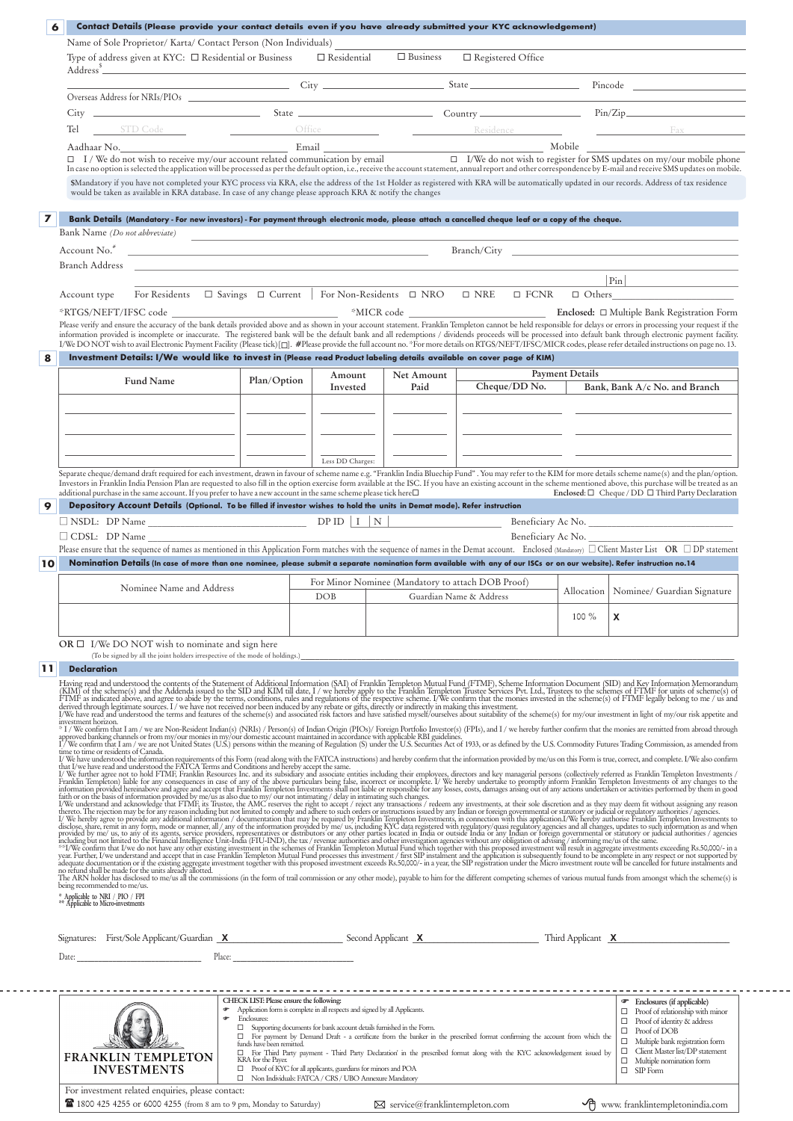| 6              | Contact Details (Please provide your contact details even if you have already submitted your KYC acknowledgement)                                                                                                                                                                                                                                                                                                                                                                                                                                                                                                                                                                                     |                                                                                                                                                                                                                                                                                                                                                           |                                                   |                         |                        |                                                                                                                                                                                                                                                                                                                                                              |
|----------------|-------------------------------------------------------------------------------------------------------------------------------------------------------------------------------------------------------------------------------------------------------------------------------------------------------------------------------------------------------------------------------------------------------------------------------------------------------------------------------------------------------------------------------------------------------------------------------------------------------------------------------------------------------------------------------------------------------|-----------------------------------------------------------------------------------------------------------------------------------------------------------------------------------------------------------------------------------------------------------------------------------------------------------------------------------------------------------|---------------------------------------------------|-------------------------|------------------------|--------------------------------------------------------------------------------------------------------------------------------------------------------------------------------------------------------------------------------------------------------------------------------------------------------------------------------------------------------------|
|                | Name of Sole Proprietor/ Karta/ Contact Person (Non Individuals)<br>Type of address given at KYC: □ Residential or Business □ Residential                                                                                                                                                                                                                                                                                                                                                                                                                                                                                                                                                             |                                                                                                                                                                                                                                                                                                                                                           | $\Box$ Business                                   | □ Registered Office     |                        |                                                                                                                                                                                                                                                                                                                                                              |
|                | Address <sup>\$</sup><br>$Overses$ Address for $NRIs/PIOs$                                                                                                                                                                                                                                                                                                                                                                                                                                                                                                                                                                                                                                            |                                                                                                                                                                                                                                                                                                                                                           |                                                   |                         |                        | City City State State Pincode                                                                                                                                                                                                                                                                                                                                |
|                |                                                                                                                                                                                                                                                                                                                                                                                                                                                                                                                                                                                                                                                                                                       |                                                                                                                                                                                                                                                                                                                                                           |                                                   |                         |                        |                                                                                                                                                                                                                                                                                                                                                              |
|                | STD Code Office Residence Residence<br>Tel<br>Aadhaar No.<br>□ I/We do not wish to receive my/our account related communication by email □ I/We do not wish to register for SMS updates on my/our mobile phone<br>In case no option is selected the application will be processed<br>\$Mandatory if you have not completed your KYC process via KRA, else the address of the 1st Holder as registered with KRA will be automatically updated in our records. Address of tax residence<br>would be taken as available in KRA database. In case of any change please approach KRA & notify the changes                                                                                                  |                                                                                                                                                                                                                                                                                                                                                           |                                                   |                         |                        | Fax                                                                                                                                                                                                                                                                                                                                                          |
|                |                                                                                                                                                                                                                                                                                                                                                                                                                                                                                                                                                                                                                                                                                                       |                                                                                                                                                                                                                                                                                                                                                           |                                                   |                         |                        |                                                                                                                                                                                                                                                                                                                                                              |
| $\overline{ }$ | Bank Details (Mandatory - For new investors) - For payment through electronic mode, please attach a cancelled cheque leaf or a copy of the cheque.<br>Bank Name (Do not abbreviate)                                                                                                                                                                                                                                                                                                                                                                                                                                                                                                                   |                                                                                                                                                                                                                                                                                                                                                           |                                                   |                         |                        |                                                                                                                                                                                                                                                                                                                                                              |
|                | Account No. <sup>#</sup><br>Branch Address and the contract of the contract of the contract of the contract of the contract of the contract of the contract of the contract of the contract of the contract of the contract of the contract of the contrac                                                                                                                                                                                                                                                                                                                                                                                                                                            | <u> 1989 - Johann Harry Harry Harry Harry Harry Harry Harry Harry Harry Harry Harry Harry Harry Harry Harry Harry</u>                                                                                                                                                                                                                                     |                                                   |                         |                        | Branch/City and the state of the state of the state of the state of the state of the state of the state of the state of the state of the state of the state of the state of the state of the state of the state of the state o                                                                                                                               |
|                |                                                                                                                                                                                                                                                                                                                                                                                                                                                                                                                                                                                                                                                                                                       |                                                                                                                                                                                                                                                                                                                                                           |                                                   |                         |                        | $\Pr \qquad \qquad$                                                                                                                                                                                                                                                                                                                                          |
|                | Account type<br>*RTGS/NEFT/IFSC code<br>Please verify and ensure the accuracy of the bank details provided above and as shown in your account statement. Franklin Templeton cannot be held responsible for delays or errors in processing your request if the<br>information provided is incomplete or inaccurate. The registered bank will be the default bank and all redemptions / dividends proceeds will be processed into default bank through electronic payment facility.<br>I/We DO NOT wish to avail Electronic Payment Facility (Please tick) [[]. #Please provide the full account no. *For more details on RTGS/NEFT/IFSC/MICR codes, please refer detailed instructions on page no. 13. | For Residents □ Savings □ Current For Non-Residents □ NRO □ NRE                                                                                                                                                                                                                                                                                           |                                                   | $\square$ FCNR          |                        | $\Box$ Others                                                                                                                                                                                                                                                                                                                                                |
| 8              | Investment Details: I/We would like to invest in (Please read Product labeling details available on cover page of KIM)                                                                                                                                                                                                                                                                                                                                                                                                                                                                                                                                                                                | Amount                                                                                                                                                                                                                                                                                                                                                    | Net Amount                                        |                         | <b>Payment Details</b> |                                                                                                                                                                                                                                                                                                                                                              |
|                | <b>Fund Name</b>                                                                                                                                                                                                                                                                                                                                                                                                                                                                                                                                                                                                                                                                                      | Plan/Option<br>Invested                                                                                                                                                                                                                                                                                                                                   | Paid                                              | Cheque/DD No.           |                        | Bank, Bank A/c No. and Branch                                                                                                                                                                                                                                                                                                                                |
|                | the control of the control of the control of the control of the control of the control of                                                                                                                                                                                                                                                                                                                                                                                                                                                                                                                                                                                                             | Less DD Charges:                                                                                                                                                                                                                                                                                                                                          |                                                   |                         |                        | <u> 1980 - John Harry Barn, mars and de la partie de la partie de la partie de la partie de la partie de la part</u><br><u> 1980 - John Harry Harry Harry Harry Harry Harry Harry Harry Harry Harry Harry Harry Harry Harry Harry Harry Harry Harry Harry Harry Harry Harry Harry Harry Harry Harry Harry Harry Harry Harry Harry Harry Harry Harry Harr</u> |
| 9              | Separate cheque/demand draft required for each investment, drawn in favour of scheme name e.g. "Franklin India Bluechip Fund". You may refer to the KIM for more details scheme name(s) and the plan/option.<br>Investors in Franklin India Pension Plan are requested to also fill in the option exercise form available at the ISC. If you have an existing account in the scheme mentioned above, this purchase will be treated as an<br>additional purchase in the same account. If you prefer to have a new account in the same scheme please tick here $\Box$<br>Depository Account Details (Optional. To be filled if investor wishes to hold the units in Demat mode). Refer instruction      |                                                                                                                                                                                                                                                                                                                                                           |                                                   |                         |                        | Enclosed: $\Box$ Cheque / DD $\Box$ Third Party Declaration                                                                                                                                                                                                                                                                                                  |
|                |                                                                                                                                                                                                                                                                                                                                                                                                                                                                                                                                                                                                                                                                                                       |                                                                                                                                                                                                                                                                                                                                                           |                                                   |                         |                        | Beneficiary Ac No.                                                                                                                                                                                                                                                                                                                                           |
|                | $\Box$ CDSL: DP Name<br>Please ensure that the sequence of names as mentioned in this Application Form matches with the sequence of names in the Demat account. Enclosed (Mandatory) $\Box$ Client Master List OR $\Box$ DP statement                                                                                                                                                                                                                                                                                                                                                                                                                                                                 |                                                                                                                                                                                                                                                                                                                                                           |                                                   |                         | Beneficiary Ac No.     |                                                                                                                                                                                                                                                                                                                                                              |
| 10             | Nomination Details (In case of more than one nominee, please submit a separate nomination form available with any of our ISCs or on our website). Refer instruction no.14                                                                                                                                                                                                                                                                                                                                                                                                                                                                                                                             |                                                                                                                                                                                                                                                                                                                                                           |                                                   |                         |                        |                                                                                                                                                                                                                                                                                                                                                              |
|                | Nominee Name and Address                                                                                                                                                                                                                                                                                                                                                                                                                                                                                                                                                                                                                                                                              | DOB                                                                                                                                                                                                                                                                                                                                                       | For Minor Nominee (Mandatory to attach DOB Proof) | Guardian Name & Address |                        | Allocation   Nominee/ Guardian Signature                                                                                                                                                                                                                                                                                                                     |
|                |                                                                                                                                                                                                                                                                                                                                                                                                                                                                                                                                                                                                                                                                                                       |                                                                                                                                                                                                                                                                                                                                                           |                                                   |                         | 100 %                  | X                                                                                                                                                                                                                                                                                                                                                            |
|                | OR $\Box$ I/We DO NOT wish to nominate and sign here<br>(To be signed by all the joint holders irrespective of the mode of holdings.)                                                                                                                                                                                                                                                                                                                                                                                                                                                                                                                                                                 |                                                                                                                                                                                                                                                                                                                                                           |                                                   |                         |                        |                                                                                                                                                                                                                                                                                                                                                              |
| 11             | <b>Declaration</b><br>Having read and understood the contents of the Statement of Additional Information (SAI) of Franklin Templeton Mutual Fund (FTMF), Scheme Information Document (SID) and Key Information Memorandum (KIM) of the scheme(s) an                                                                                                                                                                                                                                                                                                                                                                                                                                                   |                                                                                                                                                                                                                                                                                                                                                           |                                                   |                         |                        |                                                                                                                                                                                                                                                                                                                                                              |
|                | investment horizon.<br>* I / We confirm that I am / we are Non-Resident Indian(s) (NRIs) / Person(s) of Indian Origin (PIOs)/ Foreign Portfolio Investor(s) (FPIs), and I / we hereby further confirm that the monies are remitted from abroad throug<br>approved banking channels or from my/our monies in my/our domestic account maintained in accordance with applicable RBI guidelines. The main of the U.S. Commodity Futures Trading Commission, as amended from TV We confirm t<br>time to time or residents of Canada.                                                                                                                                                                       |                                                                                                                                                                                                                                                                                                                                                           |                                                   |                         |                        |                                                                                                                                                                                                                                                                                                                                                              |
|                |                                                                                                                                                                                                                                                                                                                                                                                                                                                                                                                                                                                                                                                                                                       |                                                                                                                                                                                                                                                                                                                                                           |                                                   |                         |                        |                                                                                                                                                                                                                                                                                                                                                              |
|                | Time to time carrestents of Canda.<br>If We have understood the information requirements of this Form (read along with the FATCA instructions) and hereby confirm that the information provided by me/us on this Form is tue, cor<br>The ARN holder has disclosed to me/us all the commissions (in the form of trail commission or any other mode), payable to him for the different competing schemes of various mutual funds from amongst which the scheme(s) is                                                                                                                                                                                                                                    |                                                                                                                                                                                                                                                                                                                                                           |                                                   |                         |                        |                                                                                                                                                                                                                                                                                                                                                              |
|                | being recommended to me/us.<br>* Applicable to NRI / PIO / FPI<br>** Applicable to Micro-investments                                                                                                                                                                                                                                                                                                                                                                                                                                                                                                                                                                                                  |                                                                                                                                                                                                                                                                                                                                                           |                                                   |                         |                        |                                                                                                                                                                                                                                                                                                                                                              |
|                | Signatures: First/Sole Applicant/Guardian X Second Applicant X Third Applicant X Third Applicant X<br>Date: the contract of the contract of the contract of the contract of the contract of the contract of the contract of the contract of the contract of the contract of the contract of the contract of the contract of the cont                                                                                                                                                                                                                                                                                                                                                                  | Place: The contract of the contract of the contract of the contract of the contract of the contract of the contract of the contract of the contract of the contract of the contract of the contract of the contract of the con                                                                                                                            |                                                   |                         |                        |                                                                                                                                                                                                                                                                                                                                                              |
|                |                                                                                                                                                                                                                                                                                                                                                                                                                                                                                                                                                                                                                                                                                                       |                                                                                                                                                                                                                                                                                                                                                           |                                                   |                         |                        |                                                                                                                                                                                                                                                                                                                                                              |
|                | ٠<br>œ<br>funds have been remitted.                                                                                                                                                                                                                                                                                                                                                                                                                                                                                                                                                                                                                                                                   | CHECK LIST: Please ensure the following:<br>Application form is complete in all respects and signed by all Applicants.<br>Enclosures:<br>$\Box$ Supporting documents for bank account details furnished in the Form.<br>$\Box$ For payment by Demand Draft - a certificate from the banker in the prescribed format confirming the account from which the |                                                   |                         |                        | <sup>T</sup> Enclosures (if applicable)<br>$\Box$ Proof of relationship with minor<br>$\Box$ Proof of identity & address<br>$\Box$ Proof of DOB                                                                                                                                                                                                              |

|  |  |   |  | For investment related enquiries, please contact: |  |
|--|--|---|--|---------------------------------------------------|--|
|  |  | . |  |                                                   |  |

1800 425 4255 or 6000 4255 (from 8 am to 9 pm, Monday to Saturday) Service@franklintempleton.com **was serviced to a service** 

 $- - -$